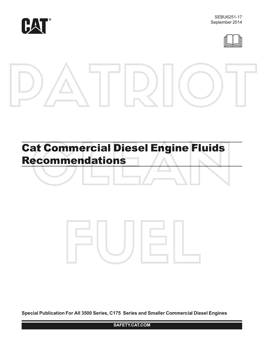



# Cat Commercial Diesel Engine Fluids Recommendations



**Special Publication For All 3500 Series, C175 Series and Smaller Commercial Diesel Engines**

**SAFETY.CAT.COM**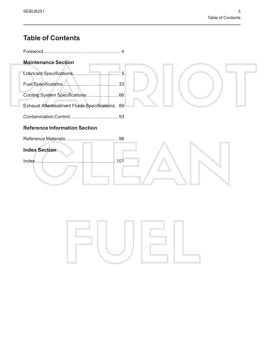## **Table of Contents**

| <b>Maintenance Section</b>                       |     |
|--------------------------------------------------|-----|
| Lubricant Specifications                         | 5   |
|                                                  | 33  |
| Cooling System Specifications 66                 |     |
| Exhaust Aftertreatment Fluids Specifications. 89 |     |
|                                                  |     |
| <b>Reference Information Section</b>             |     |
|                                                  |     |
| <b>Index Section</b>                             |     |
| <b>Index</b>                                     | 101 |
|                                                  |     |
|                                                  |     |
|                                                  |     |

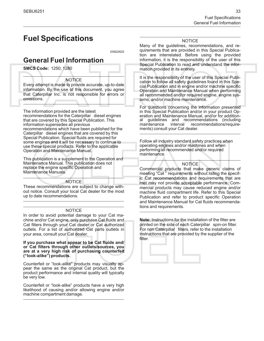### <span id="page-2-1"></span><span id="page-2-0"></span>**Fuel Specifications**

i05822625

### <span id="page-2-2"></span>**General Fuel Information**

**SMCS Code:** 1250; 1280

#### **NOTICE**

Every attempt is made to provide accurate, up-to-date information. By the use of this document, you agree that Caterpillar Inc. is not responsible for errors or omissions.

The information provided are the latest recommendations for the Caterpillar diesel engines that are covered by this Special Publication. This information supersedes all previous recommendations which have been published for the Caterpillar diesel engines that are covered by this Special Publication. Special fluids are required for some engines and it will be necessary to continue to use these special products. Refer to the applicable Operation and Maintenance Manual.

This publication is a supplement to the Operation and Maintenance Manual. This publication does not replace the engine specific Operation and Maintenance Manuals.

#### **NOTICE**

These recommendations are subject to change without notice. Consult your local Cat dealer for the most up to date recommendations.

#### NOTICE

In order to avoid potential damage to your Cat machine and/or Cat engine, only purchase Cat fluids and Cat filters through your Cat dealer or Cat authorized outlets. For a list of authorized Cat parts outlets in your area, consult your Cat dealer.

**If you purchase what appear to be Cat fluids and/ or Cat filters through other outlets/sources, you are at a very high risk of purchasing counterfeit ("look-alike") products.**

Counterfeit or "look-alike" products may visually appear the same as the original Cat product, but the product performance and internal quality will typically be very low.

Counterfeit or "look-alike" products have a very high likelihood of causing and/or allowing engine and/or machine compartment damage.

#### NOTICE

Many of the guidelines, recommendations, and requirements that are provided in this Special Publication are interrelated. Before using the provided information, it is the responsibility of the user of this Special Publication to read and understand the information provided in its entirety.

It is the responsibility of the user of this Special Publication to follow all safety guidelines found in this Special Publication and in engine and/or machine specific Operation and Maintenance Manual when performing all recommended and/or required engine, engine systems, and/or machine maintenance.

For questions concerning the information presented in this Special Publication and/or in your product Operation and Maintenance Manual, and/or for addition-<br>al guidelines and recommendations (including al guidelines and recommendations (including<br>maintenance interval recommendations/requirerecommendations/requirements) consult your Cat dealer.

Follow all industry standard safety practices when operating engines and/or machines and when performing all recommended and/or required maintenance.

#### NOTICE

Commercial products that make generic claims of meeting "Cat " requirements without listing the specific Cat recommendations and requirements that are met may not provide acceptable performance. Commercial products may cause reduced engine and/or machine fluid compartment life. Refer to this Special Publication and refer to product specific Operation and Maintenance Manual for Cat fluids recommendations and requirements.

**Note:** Instructions for the installation of the filter are printed on the side of each Caterpillar spin-on filter. For non Caterpillar filters, refer to the installation instructions that are provided by the supplier of the filter.

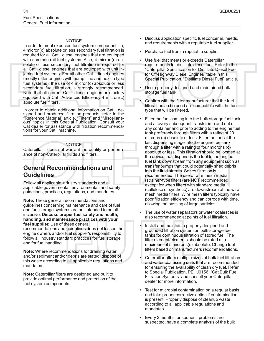#### **NOTICE**

In order to meet expected fuel system component life, 4 micron(c) absolute or less secondary fuel filtration is required for all Cat diesel engines that are equipped with common-rail fuel systems. Also, 4 micron(c) absolute or less secondary fuel filtration is required for all Cat diesel engines that are equipped with unit injected fuel systems. For all other Cat diesel engines (mostly older engines with pump, line and nozzle type fuel systems), the use of 4 micron $(c)$  absolute or less secondary fuel filtration is strongly recommended. Note that all current Cat diesel engines are factory equipped with Cat Advanced Efficiency 4 micron (c) absolute fuel filters.

In order to obtain additional information on Cat designed and produced filtration products, refer to the "Reference Material" article, "Filters" and "Miscellaneous" topics in this Special Publication. Consult your Cat dealer for assistance with filtration recommendations for your Cat machine.

#### **NOTICE**

Caterpillar does not warrant the quality or performance of non-Caterpillar fluids and filters.

### **General Recommendations and Guidelines**

Follow all applicable industry standards and all applicable governmental, environmental, and safety guidelines, practices, regulations, and mandates.

**Note:** These general recommendations and guidelines concerning maintenance and care of fuel and fuel storage systems are not intended to be all inclusive. **Discuss proper fuel safety and health, handling, and maintenance practices with your fuel supplier.** Use of these general

recommendations and guidelines does not lessen the engine owners and/or fuel supplier's responsibility to follow all industry standard practices for fuel storage and for fuel handling.

**Note:** Where recommendations for draining water and/or sediment and/or debris are stated, dispose of this waste according to all applicable regulations and mandates.

**Note:** Caterpillar filters are designed and built to provide optimal performance and protection of the fuel system components.

- Discuss application specific fuel concerns, needs, and requirements with a reputable fuel supplier.
- Purchase fuel from a reputable supplier.
- Use fuel that meets or exceeds Caterpillar requirements for distillate diesel fuel. Refer to the "Caterpillar Specification for Distillate Diesel Fuel for Off-Highway Diesel Engines" table in this Special Publication, "Distillate Diesel Fuel" article.
- Use a properly designed and maintained bulk storage fuel tank.
- Confirm with the filter manufacturer that the fuel filter/filters to be used are compatible with the fuel type that will be filtered.
- Filter the fuel coming into the bulk storage fuel tank and at every subsequent transfer into and out of any container and prior to adding to the engine fuel tank preferably through filters with a rating of 20 microns (c) absolute or less. Filter the fuel at the last dispensing stage into the engine fuel tank through a filter with a rating of four microns (c) absolute or less. This filtration should be located at the device that dispenses the fuel to the engine fuel tank downstream from any equipment such as transfer pumps that could potentially shed debris into the fluid stream. Series filtration is recommended. The use of wire mesh media (strainer-type filters) are NOT recommended except for when filters with standard media (cellulose or synthetic) are downstream of the wire mesh media filters. Wire mesh filters typically have poor filtration efficiency and can corrode with time, allowing the passing of large particles.
- The use of water separators or water coalesces is also recommended at points of fuel filtration.
- Install and maintain a properly designed and grounded filtration system on bulk storage fuel tanks for continuous filtration of stored fuel. The filter element/elements should be rated at a maximum of 5 microns(c) absolute. Change fuel filters based on manufacturers recommendations.
- Caterpillar offers multiple sizes of bulk fuel filtration and water coalescing units that are recommended for ensuring the availability of clean dry fuel. Refer to Special Publication, PEHJ0156, "Cat Bulk Fuel Filtration Systems" and consult your Caterpillar dealer for more information.
- Test for microbial contamination on a regular basis and take proper corrective action if contamination is present. Properly dispose of cleanup waste according to all applicable regulations and mandates.
- Every 3 months, or sooner if problems are suspected, have a complete analysis of the bulk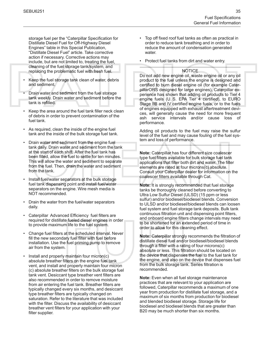storage fuel per the "Caterpillar Specification for Distillate Diesel Fuel for Off-Highway Diesel Engines" table in this Special Publication, "Distillate Diesel Fuel" article. Take corrective action if necessary. Corrective actions may include, but are not limited to, treating the fuel, cleaning of the fuel storage tank/system, and replacing the problematic fuel with fresh fuel.

- Keep the fuel storage tank clean of water, debris and sediment.
- Drain water and sediment from the fuel storage tank weekly. Drain water and sediment before the tank is refilled.
- Keep the area around the fuel tank filler neck clean of debris in order to prevent contamination of the fuel tank.
- As required, clean the inside of the engine fuel tank and the inside of the bulk storage fuel tank.
- Drain water and sediment from the engine fuel tank daily. Drain water and sediment from the tank at the start of each shift. After the fuel tank has been filled, allow the fuel to settle for ten minutes. This will allow the water and sediment to separate from the fuel. Then, drain the water and sediment from the tank.
- Install fuel/water separators at the bulk storage fuel tank dispensing point and install fuel/water separators on the engine. Wire mesh media is NOT recommended.
- Drain the water from the fuel/water separators daily.
- Caterpillar Advanced Efficiency fuel filters are required for distillate fueled diesel engines in order to provide maximum life to the fuel system.
- Change fuel filters at the scheduled interval. Never fill the new secondary fuel filter with fuel before installation. Use the fuel priming pump to remove air from the system.
- Install and properly maintain four micron(c) absolute breather filters on the engine fuel tank vent, and install and properly maintain four micron (c) absolute breather filters on the bulk storage fuel tank vent. Desiccant type breather vent filters are also recommended in order to remove moisture from air entering the fuel tank. Breather filters are typically changed every six months, and desiccant type breather filters are typically changed on saturation. Refer to the literature that was included with the filter. Discuss the availability of desiccant breather vent filters for your application with your filter supplier.
- Top off fixed roof fuel tanks as often as practical in order to reduce tank breathing and in order to reduce the amount of condensation generated water.
- Protect fuel tanks from dirt and water entry.

#### **NOTICE**

Do not add new engine oil, waste engine oil or any oil product to the fuel unless the engine is designed and certified to burn diesel engine oil (for example CaterpillarORS designed for large engines). Caterpillar experience has shown that adding oil products to Tier 4 engine fuels (U. S. EPA Tier 4 certified), to EURO Stage IIB and IV certified engine fuels, or to the fuels of engines equipped with exhaust aftertreatment devices, will generally cause the need for more frequent ash service intervals and/or cause loss of performance.

Adding oil products to the fuel may raise the sulfur level of the fuel and may cause fouling of the fuel system and loss of performance.

**Note:** Caterpillar has four different size coalescer type fuel filters available for bulk storage fuel tank applications that filter both dirt and water. The filter elements are rated at four microns(c) absolute. Consult your Caterpillar dealer for information on the coalescer filters available through Cat.

**Note:** It is strongly recommended that fuel storage tanks be thoroughly cleaned before converting to Ultra Low Sulfur Diesel (ULSD) (15 ppm or less sulfur) and/or biodiesel/biodiesel blends. Conversion to ULSD and/or biodiesel/biodiesel blends can loosen fuel system and fuel storage tank deposits. Bulk tank continuous filtration unit and dispensing point filters, and onboard engine filters change intervals may need to be shortened for an extended period of time in order to allow for this cleaning effect.

**Note:** Caterpillar strongly recommends the filtration of distillate diesel fuel and/or biodiesel/biodiesel blends through a filter with a rating of four microns(c) absolute or less. This filtration should be located on the device that dispenses the fuel to the fuel tank for the engine, and also on the device that dispenses fuel from the bulk storage tank. Series filtration is recommended.

**Note:** Even when all fuel storage maintenance practices that are relevant to your application are followed, Caterpillar recommends a maximum of one year from production for distillate fuel storage, and a maximum of six months from production for biodiesel and blended biodiesel storage. Storage life for biodiesel and biodiesel blends that are greater than B20 may be much shorter than six months.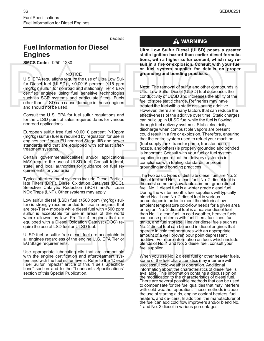i05822630

### <span id="page-5-0"></span>**Fuel Information for Diesel Engines**

**SMCS Code:** 1250; 1280

#### NOTICE

U.S. EPA regulations require the use of Ultra Low Sulfur Diesel fuel (ULSD) , ≤0.0015 percent (≤15 ppm (mg/kg)) sulfur, for nonroad and stationary Tier 4 EPA certified engines using fuel sensitive technologies such as SCR systems and particulate filters. Fuels other than ULSD can cause damage in those engines and should not be used.

Consult the U.S. EPA for fuel sulfur regulations and for the ULSD point of sales required dates for various nonroad applications.

European sulfur free fuel ≤0.0010 percent (≤10ppm (mg/kg) sulfur) fuel is required by regulation for use in engines certified to EU nonroad Stage IIIB and newer standards and that are equipped with exhaust aftertreatment systems.

Certain governments/localities and/or applications MAY require the use of ULSD fuel. Consult federal, state, and local authorities for guidance on fuel requirements for your area.

Typical aftertreatment systems include Diesel Particulate Filters (DPF), Diesel Oxidation Catalysts (DOC), Selective Catalytic Reduction (SCR) and/or Lean NOx Traps (LNT). Other systems may apply.

Low sulfur diesel (LSD) fuel (≤500 ppm (mg/kg) sulfur) is strongly recommended for use in engines that are pre-Tier 4 models while diesel fuel with >500 ppm sulfur is acceptable for use in areas of the world where allowed by law. Pre-Tier 4 engines that are equipped with a Diesel Oxidation Catalyst (DOC) require the use of LSD fuel or ULSD fuel.

ULSD fuel or sulfur-free diesel fuel are acceptable in all engines regardless of the engine U.S. EPA Tier or EU Stage requirements.

Use appropriate lubricating oils that are compatible with the engine certification and aftertreatment system and with the fuel sulfur levels. Refer to the "Diesel Fuel Sulfur Impacts" article of this "Fuels Specifications" section and to the "Lubricants Specifications" section of this Special Publication.

### $\Lambda$  WARNING

**Ultra Low Sulfur Diesel (ULSD) poses a greater static ignition hazard than earlier diesel formulations, with a higher sulfur content, which may result in a fire or explosion. Consult with your fuel or fuel system supplier for details on proper grounding and bonding practices.**

**Note:** The removal of sulfur and other compounds in Ultra Low Sulfur Diesel (ULSD) fuel decreases the conductivity of ULSD and increases the ability of the fuel to store static charge. Refineries may have treated the fuel with a static dissipating additive. However, there are many factors that can reduce the effectiveness of the additive over time. Static charges can build up in ULSD fuel while the fuel is flowing through fuel delivery systems. Static electricity discharge when combustible vapors are present could result in a fire or explosion. Therefore, ensuring that the entire system used to refuel your machine (fuel supply tank, transfer pump, transfer hose, nozzle, and others) is properly grounded and bonded is important. Consult with your fuel or fuel system supplier to ensure that the delivery system is in compliance with fueling standards for proper grounding and bonding practices.

The two basic types of distillate diesel fuel are No. 2 diesel fuel and No. 1 diesel fuel. No. 2 diesel fuel is the most commonly available summer grade diesel fuel. No. 1 diesel fuel is a winter grade diesel fuel. During the winter months fuel suppliers will typically blend No. 1 and No. 2 diesel fuel in various percentages in order to meet the historical low ambient temperature cold-flow needs for a given area or region. No. 2 diesel fuel is a heavier diesel fuel than No. 1 diesel fuel. In cold weather, heavier fuels can cause problems with fuel filters, fuel lines, fuel tanks, and fuel storage. Heavier diesel fuels such as No. 2 diesel fuel can be used in diesel engines that operate in cold temperatures with an appropriate amount of a well proven pour point depressant additive. For more information on fuels which include blends of No. 1 and No. 2 diesel fuel, consult your fuel supplier.

When you use No. 2 diesel fuel or other heavier fuels, some of the fuel characteristics may interfere with successful cold-weather operation. Additional information about the characteristics of diesel fuel is available. This information contains a discussion on the modification to the characteristics of diesel fuel. There are several possible methods that can be used to compensate for the fuel qualities that may interfere with cold-weather operation. These methods include the use of starting aids, engine coolant heaters, fuel heaters, and de-icers. In addition, the manufacturer of the fuel can add cold flow improvers and/or blend No. 1 and No. 2 diesel in various percentages.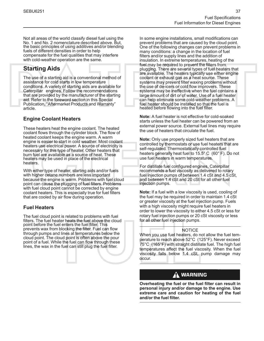Not all areas of the world classify diesel fuel using the No. 1 and No. 2 nomenclature described above. But, the basic principles of using additives and/or blending fuels of different densities in order to help compensate for the fuel qualities that may interfere with cold-weather operation are the same.

### **Starting Aids**

The use of a starting aid is a conventional method of assistance for cold starts in low temperature conditions. A variety of starting aids are available for Caterpillar engines. Follow the recommendations that are provided by the manufacturer of the starting aid. Refer to the foreword section in this Special Publication, "Aftermarket Products and Warranty" article.

#### **Engine Coolant Heaters**

These heaters heat the engine coolant. The heated coolant flows through the cylinder block. The flow of heated coolant keeps the engine warm. A warm engine is easier to start in cold weather. Most coolant heaters use electrical power. A source of electricity is necessary for this type of heater. Other heaters that burn fuel are available as a source of heat. These heaters may be used in place of the electrical heaters.

With either type of heater, starting aids and/or fuels with higher cetane numbers are less important because the engine is warm. Problems with fuel cloud point can cause the plugging of fuel filters. Problems with fuel cloud point cannot be corrected by engine coolant heaters. This is especially true for fuel filters that are cooled by air flow during operation.

#### **Fuel Heaters**

The fuel cloud point is related to problems with fuel filters. The fuel heater heats the fuel above the cloud point before the fuel enters the fuel filter. This prevents wax from blocking the filter. Fuel can flow through pumps and lines at temperatures below the cloud point. The cloud point is often above the pour point of a fuel. While the fuel can flow through these lines, the wax in the fuel can still plug the fuel filter.

In some engine installations, small modifications can prevent problems that are caused by the cloud point. One of the following changes can prevent problems in many conditions: a change in the location of fuel filters and/or supply lines and the addition of insulation. In extreme temperatures, heating of the fuel may be required to prevent the filters from plugging. There are several types of fuel heaters that are available. The heaters typically use either engine coolant or exhaust gas as a heat source. These systems may prevent filter waxing problems without the use of de-icers or cold flow improvers. These systems may be ineffective when the fuel contains a large amount of dirt or of water. Use of a fuel heater can help eliminate some cold-weather problems. A fuel heater should be installed so that the fuel is heated before flowing into the fuel filter.

**Note:** A fuel heater is not effective for cold-soaked starts unless the fuel heater can be powered from an external power source. External fuel lines may require the use of heaters that circulate the fuel.

**Note:** Only use properly sized fuel heaters that are controlled by thermostats or use fuel heaters that are self-regulated. Thermostatically controlled fuel heaters generally heat fuel to 15.5° C (60° F). Do not use fuel heaters in warm temperatures.

For distillate fuel configured engines, Caterpillar recommends a fuel viscosity as delivered to rotary fuel injection pumps of between 1.4 cSt and 4.5 cSt, and between 1.4 cSt and 20 cSt for all other fuel injection pumps.

**Note:** If a fuel with a low viscosity is used, cooling of the fuel may be required in order to maintain 1.4 cSt or greater viscosity at the fuel injection pump. Fuels with a high viscosity might require fuel heaters in order to lower the viscosity to either 4.5 cSt or less for rotary fuel injection pumps or 20 cSt viscosity or less for all other fuel injection pumps.

#### **NOTICE**

When you use fuel heaters, do not allow the fuel temperature to reach above 52°C (125°F). Never exceed 75°C (165°F) with straight distillate fuel. The high fuel temperatures affect the fuel viscosity. When the fuel viscosity falls below 1.4 cSt, pump damage may occur.

### A WARNING

**Overheating the fuel or the fuel filter can result in personal injury and/or damage to the engine. Use extreme care and caution for heating of the fuel and/or the fuel filter.**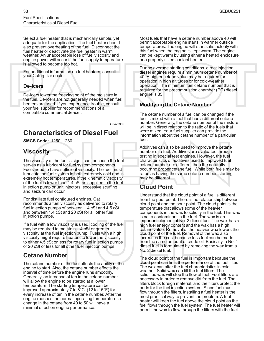Select a fuel heater that is mechanically simple, yet adequate for the application. The fuel heater should also prevent overheating of the fuel. Disconnect the fuel heater or deactivate the fuel heater in warm weather. An unacceptable loss of fuel viscosity and engine power will occur if the fuel supply temperature is allowed to become too hot.

For additional information on fuel heaters, consult your Caterpillar dealer.

#### **De-icers**

De-icers lower the freezing point of the moisture in the fuel. De-icers are not generally needed when fuel heaters are used. If you experience trouble, consult your fuel supplier for recommendations of a compatible commercial de-icer.

i05423989

### <span id="page-7-0"></span>**Characteristics of Diesel Fuel**

**SMCS Code:** 1250; 1280

### **Viscosity**

The viscosity of the fuel is significant because the fuel serves as a lubricant for fuel system components. Fuels need to have sufficient viscosity. The fuel must lubricate the fuel system in both extremely cold and in extremely hot temperatures. If the kinematic viscosity of the fuel is lower than 1.4 cSt as supplied to the fuel injection pump or unit injectors, excessive scuffing and seizure can occur.

For distillate fuel configured engines, Cat recommends a fuel viscosity as delivered to rotary fuel injection pumps of between 1.4 cSt and 4.5 cSt, and between 1.4 cSt and 20 cSt for all other fuel injection pumps.

If a fuel with a low viscosity is used, cooling of the fuel may be required to maintain 1.4 cSt or greater viscosity at the fuel injection pump. Fuels with a high viscosity might require heaters to lower the viscosity to either 4.5 cSt or less for rotary fuel injection pumps or 20 cSt or less for all other fuel injection pumps.

### **Cetane Number**

The cetane number of the fuel effects the ability of the engine to start. Also, the cetane number effects the interval of time before the engine runs smoothly. Generally, an increase of ten in the cetane number will allow the engine to be started at a lower temperature. The starting temperature can be improved approximately 7 to 8°C (12 to 15°F) for every increase of ten in the cetane number. After the engine reaches the normal operating temperature, a change in the cetane from 40 to 50 will have a minimal effect on engine performance.

Most fuels that have a cetane number above 40 will permit acceptable engine starts in warmer outside temperatures. The engine will start satisfactorily with this fuel when the engine is kept warm. The engine can be kept warm by using either a heated enclosure or a properly sized coolant heater.

During average starting conditions, direct injection diesel engines require a minimum cetane number of 40. A higher cetane value may be required for operation in high altitudes or for cold-weather operation. The minimum fuel cetane number that is required for the precombustion chamber (PC) diesel engine is 35.

#### **Modifying the Cetane Number**

The cetane number of a fuel can be changed if the fuel is mixed with a fuel that has a different cetane number. Generally, the cetane number of the mixture will be in direct relation to the ratio of the fuels that were mixed. Your fuel supplier can provide the information about the cetane number of a particular fuel.

Additives can also be used to improve the cetane number of a fuel. Additives are evaluated through testing in special test engines. However, the fuel characteristics of additives used to improved fuel cetane number are different than the naturally occurring proper cetane fuel. While both fuels may be rated as having the same cetane number, starting may be different.

### **Cloud Point**

Understand that the cloud point of a fuel is different from the pour point. There is no relationship between cloud point and the pour point. The cloud point is the temperature that allows some of the heavier components in the wax to solidify in the fuel. This wax is not a contaminant in the fuel. The wax is an important element of No. 2 diesel fuel. The wax has a high fuel energy content and the wax has a high cetane value. Removal of the heavier wax lowers the cloud point of the fuel. Removal of the wax also increases the cost because less fuel can be made from the same amount of crude oil. Basically, a No. 1 diesel fuel is formulated by removing the wax from a No. 2 diesel fuel.

The cloud point of the fuel is important because the cloud point can limit the performance of the fuel filter. The wax can alter the fuel characteristics in cold weather. Solid wax can fill the fuel filters. The solidified wax will stop the flow of fuel. Fuel filters are necessary in order to remove dirt from the fuel. The filters block foreign material, and the filters protect the parts for the fuel injection system. Since fuel must flow through the filters, installing a fuel heater is the most practical way to prevent the problem. A fuel heater will keep the fuel above the cloud point as the fuel flows through the fuel system. The fuel heater will permit the wax to flow through the filters with the fuel.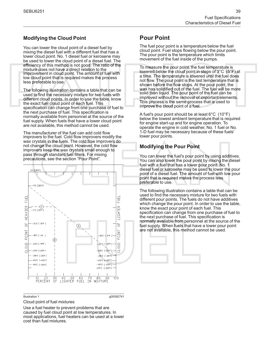#### **Modifying the Cloud Point**

You can lower the cloud point of a diesel fuel by mixing the diesel fuel with a different fuel that has a lower cloud point. No. 1 diesel fuel or kerosene may be used to lower the cloud point of a diesel fuel. The efficiency of this method is not good. The ratio of the mixture does not have a direct relation to the improvement in cloud point. The amount of fuel with low cloud point that is required makes the process less preferable to use.

The following illustration contains a table that can be used to find the necessary mixture for two fuels with different cloud points. In order to use the table, know the exact fuel cloud point of each fuel. This specification can change from one purchase of fuel to the next purchase of fuel. This specification is normally available from personnel at the source of the fuel supply. When fuels that have a lower cloud point are not available, this method cannot be used.

The manufacturer of the fuel can add cold flow improvers to the fuel. Cold flow improvers modify the wax crystals in the fuels. The cold flow improvers do not change the cloud point. However, the cold flow improvers keep the wax crystals small enough to pass through standard fuel filters. For mixing precautions, see the section ["Pour Point"](#page-8-0).



Illustration 1 g00592741

Cloud point of fuel mixtures

Use a fuel heater to prevent problems that are caused by fuel cloud point at low temperatures. In most applications, fuel heaters can be used at a lower cost than fuel mixtures.

### <span id="page-8-0"></span>**Pour Point**

The fuel pour point is a temperature below the fuel cloud point. Fuel stops flowing below the pour point. The pour point is the temperature which limits movement of the fuel inside of the pumps.

To measure the pour point, the fuel temperature is lowered below the cloud point in steps of 3°C (5°F) at a time. The temperature is lowered until the fuel does not flow. The pour point is the last temperature that is shown before the flow stops. At the pour point, the wax has solidified out of the fuel. The fuel will be more solid than liquid. The pour point of the fuel can be improved without the removal of important elements. This process is the same process that is used to improve the cloud point of a fuel.

A fuel's pour point should be at least 6°C (10°F) below the lowest ambient temperature that is required for engine start-up and for engine operation. To operate the engine in cold weather, No. 1 fuel or No. 1-D fuel may be necessary because of these fuels' lower pour points.

### **Modifying the Pour Point**

You can lower the fuel's pour point by using additives. You can also lower the pour point by mixing the diesel fuel with a fuel that has a lower pour point. No. 1 diesel fuel or kerosene may be used to lower the pour point of a diesel fuel. The amount of fuel with low pour point that is required makes the process less preferable to use.

The following illustration contains a table that can be used to find the necessary mixture for two fuels with different pour points. The fuels do not have additives which change the pour point. In order to use the table, know the exact pour point of each fuel. This specification can change from one purchase of fuel to the next purchase of fuel. This specification is normally available from personnel at the source of the fuel supply. When fuels that have a lower pour point are not available, this method cannot be used.

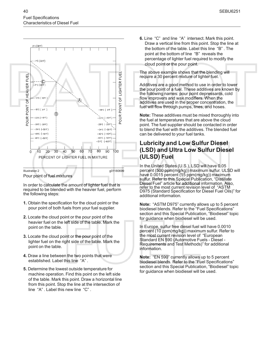



Pour point of fuel mixtures

In order to calculate the amount of lighter fuel that is required to be blended with the heavier fuel, perform the following steps:

- **1.** Obtain the specification for the cloud point or the pour point of both fuels from your fuel supplier.
- **2.** Locate the cloud point or the pour point of the heavier fuel on the left side of the table. Mark the point on the table.
- **3.** Locate the cloud point or the pour point of the lighter fuel on the right side of the table. Mark the point on the table.
- **4.** Draw a line between the two points that were established. Label this line "A" .
- **5.** Determine the lowest outside temperature for machine operation. Find this point on the left side of the table. Mark this point. Draw a horizontal line from this point. Stop the line at the intersection of line "A" . Label this new line "C" .

**6.** Line "C" and line "A" intersect. Mark this point. Draw a vertical line from this point. Stop the line at the bottom of the table. Label this line "B" . The point at the bottom of line "B" reveals the percentage of lighter fuel required to modify the cloud point or the pour point.

The above example shows that the blending will require a 30 percent mixture of lighter fuel.

Additives are a good method to use in order to lower the pour point of a fuel. These additives are known by the following names: pour point depressants, cold flow improvers and wax modifiers. When the additives are used in the proper concentration, the fuel will flow through pumps, lines, and hoses.

**Note:** These additives must be mixed thoroughly into the fuel at temperatures that are above the cloud point. The fuel supplier should be contacted in order to blend the fuel with the additives. The blended fuel can be delivered to your fuel tanks.

### **Lubricity and Low Sulfur Diesel (LSD) and Ultra Low Sulfur Diesel (ULSD) Fuel**

In the United States (U.S.), LSD will have 0.05 percent (500 ppm(mg/kg)) maximum sulfur. ULSD will have 0.0015 percent (15 ppm(mg/kg)) maximum sulfur. Refer to this Special Publication, "Distillate Diesel Fuel" article for additional information. Also, refer to the most current revision level of "ASTM D975 (Standard Specification for Diesel Fuel Oils)" for additional information.

**Note:** "ASTM D975" currently allows up to 5 percent biodiesel blends. Refer to the "Fuel Specifications" section and this Special Publication, "Biodiesel" topic for guidance when biodiesel will be used.

In Europe, sulfur free diesel fuel will have 0.0010 percent (10 ppm(mg/kg)) maximum sulfur. Refer to the most current revision level of "European Standard EN 590 (Automotive Fuels - Diesel - Requirements and Test Methods)" for additional information.

**Note:** "EN 590" currently allows up to 5 percent biodiesel blends. Refer to the "Fuel Specifications" section and this Special Publication, "Biodiesel" topic for guidance when biodiesel will be used.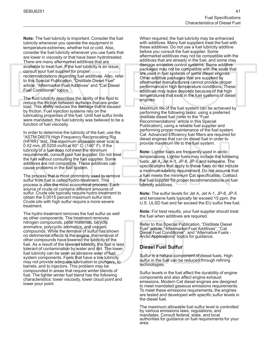**Note:** The fuel lubricity is important. Consider the fuel lubricity whenever you operate the equipment in temperature extremes, whether hot or cold. Also, consider the fuel lubricity whenever you use fuels that are lower in viscosity or that have been hydrotreated. There are many aftermarket additives that are available to treat fuel. If the fuel lubricity is an issue, consult your fuel supplier for proper recommendations regarding fuel additives. Also, refer to this Special Publication, "Distillate Diesel Fuel" article, "Aftermarket Fuel Additives" and "Cat Diesel Fuel Conditioner" topics.

The fluid lubricity describes the ability of the fluid to reduce the friction between surfaces that are under load. This ability reduces the damage that is caused by friction. Fuel injection systems rely on the lubricating properties of the fuel. Until fuel sulfur limits were mandated, the fuel lubricity was believed to be a function of fuel viscosity.

In order to determine the lubricity of the fuel, use the "ASTM D6079 High Frequency Reciprocating Rig (HFRR)" test. The maximum allowable wear scar is 0.52 mm (0.0205 inch) at 60° C (140° F). If the lubricity of a fuel does not meet the minimum requirements, consult your fuel supplier. Do not treat the fuel without consulting the fuel supplier. Some additives are not compatible. These additives can cause problems in the fuel system.

The process that is most commonly used to remove sulfur from fuel is called hydro-treatment. This process is also the most economical process. Each source of crude oil contains different amounts of sulfur. Crude oils typically require hydro-treatment to obtain the 0.0015 percent maximum sulfur limit. Crude oils with high sulfur require a more severe treatment.

The hydro-treatment removes the fuel sulfur as well as other components. The treatment removes nitrogen compounds, polar materials, bicyclic aromatics, polycyclic aromatics, and oxygen compounds. While the removal of sulfur has shown no detrimental effects to the engine, the removal of other compounds have lowered the lubricity of the fuel. As a result of the lowered lubricity, the fuel is less tolerant of contamination by water and dirt. The lower fuel lubricity can be seen as abrasive wear of fuel system components. Fuels that have a low lubricity may not provide adequate lubrication to plungers, to barrels, and to injectors. This problem may be compounded in areas that require winter blends of fuel. The lighter winter fuel blend has the following characteristics: lower viscosity, lower cloud point and lower pour point.

When required, the fuel lubricity may be enhanced with additives. Many fuel suppliers treat the fuel with these additives. Do not use a fuel lubricity additive before you consult the fuel supplier. Some aftermarket additives may not be compatible with the additives that are already in the fuel, and some may damage emission control systems. Some additive packages may not be compatible with the seals that are used in fuel systems of some diesel engines. Other additive packages that are supplied by aftermarket manufacturers cannot provide proper performance in high temperature conditions. These additives may leave deposits because of the high temperatures that exist in the fuel systems of diesel engines.

Maximum life of the fuel system can be achieved by performing the following tasks: using a preferred distillate diesel fuel (refer to the "Fuel Recommendations" article in this Special Publication), using a reliable fuel supplier and performing proper maintenance of the fuel system. Cat Advanced Efficiency fuel filters are required for diesel engines that run on diesel fuel in order to provide maximum life to the fuel system.

**Note:** Lighter fuels are frequently used in arctic temperatures. Lighter fuels may include the following fuels: Jet A, Jet A-1, JP-8, JP-5 and kerosene. The specifications that apply to these fuels do not include a minimum lubricity requirement. Do not assume that a fuel meets the minimum Cat specification. Contact the fuel supplier for proper recommendations on fuel lubricity additives.

**Note:** The sulfur levels for Jet A, Jet A-1, JP-8, JP-5 and kerosene fuels typically far exceed 15 ppm, the U.S. ULSD fuel and far exceed the EU sulfur free fuel.

**Note:** For best results, your fuel supplier should treat the fuel when additives are required.

Refer to this Special Publication, "Distillate Diesel Fuel" article, "Aftermarket Fuel Additives", "Cat Diesel Fuel Conditioner", and "Alternative Fuels - Arctic Applications" topics for guidance.

#### **Diesel Fuel Sulfur**

Sulfur is a natural component of diesel fuels. High sulfur in the fuel can be reduced through refining technologies.

Sulfur levels in the fuel affect the durability of engine components and also affect engine exhaust emissions. Modern Cat diesel engines are designed to meet mandated gaseous emissions requirements. To meet these emissions requirements, the engines are tested and developed with specific sulfur levels in the diesel fuel.

The maximum allowable fuel sulfur level is controlled by various emissions laws, regulations, and mandates. Consult federal, state, and local authorities for guidance on fuel requirements for your area.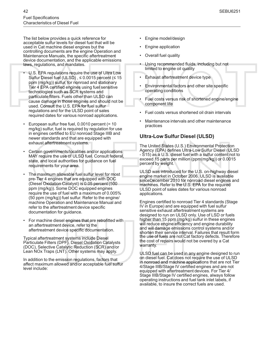The list below provides a quick reference for acceptable sulfur levels for diesel fuel that will be used in Cat machine diesel engines but the controlling documents are the engine Operation and Maintenance Manuals, the specific aftertreatment device documentation, and the applicable emissions laws, regulations, and mandates.

- U.S. EPA regulations require the use of Ultra Low Sulfur Diesel fuel (ULSD),  $\leq$  0.0015 percent ( $\leq$  15 ppm (mg/kg)) sulfur, for nonroad and stationary Tier 4 EPA certified engines using fuel sensitive technologies such as SCR systems and particulate filters. Fuels other than ULSD can cause damage in those engines and should not be used. Consult the U.S. EPA for fuel sulfur regulations and for the ULSD point of sales required dates for various nonroad applications.
- European sulfur free fuel, 0.0010 percent (= 10 mg/kg) sulfur, fuel is required by regulation for use in engines certified to EU nonroad Stage IIIB and newer standards and that are equipped with exhaust aftertreatment systems.
- Certain governments/localities and/or applications MAY require the use of ULSD fuel. Consult federal, state, and local authorities for guidance on fuel requirements for your area.
- The maximum allowable fuel sulfur level for most pre-Tier 4 engines that are equipped with DOC (Diesel Oxidation Catalyst) is 0.05 percent (500 ppm (mg/kg)). Some DOC equipped engines require the use of fuel with a maximum of 0.005% (50 ppm (mg/kg)) fuel sulfur. Refer to the engine/ machine Operation and Maintenance Manual and refer to the aftertreatment device specific documentation for guidance.
- For machine diesel engines that are retrofitted with an aftertreatment device, refer to the aftertreatment device specific documentation.

Typical aftertreatment systems include Diesel Particulate Filters (DPF), Diesel Oxidation Catalysts (DOC), Selective Catalytic Reduction (SCR) and/or Lean NOx Traps (LNT). Other systems may apply.

In addition to the emission regulations, factors that affect maximum allowed and/or acceptable fuel sulfur level include:

- Engine model/design
- Engine application
- Overall fuel quality
- Using recommended fluids, including but not limited to engine oil quality
- Exhaust aftertreatment device type
- Environmental factors and other site specific operating conditions
- Fuel costs versus risk of shortened engine/engine component life
- Fuel costs versus shortened oil drain intervals
- Maintenance intervals and other maintenance practices

#### **Ultra-Low Sulfur Diesel (ULSD)**

The United States (U.S.) Environmental Protection Agency (EPA) defines Ultra-Low Sulfur Diesel (ULSD - S15) as a U.S. diesel fuel with a sulfur content not to exceed 15 parts per million (ppm(mg/kg)) or 0.0015 percent by weight.

ULSD was introduced for the U.S. on-highway diesel engine market in October 2006. ULSD is available sinceDecember 2010 for nonroad diesel engines and machines. Refer to the U.S. EPA for the required ULSD point of sales dates for various nonroad applications.

Engines certified to nonroad Tier 4 standards (Stage IV in Europe) and are equipped with fuel sulfur sensitive exhaust aftertreatment systems are designed to run on ULSD only. Use of LSD or fuels higher than 15 ppm (mg/kg) sulfur in these engines will reduce engine efficiency and engine durability and will damage emissions control systems and/or shorten their service interval. Failures that result form the use of fuels are not Cat factory defects. Therefore the cost of repairs would not be overed by a Cat warranty.

ULSD fuel can be used in any engine designed to run on diesel fuel. Cat does not require the use of ULSD in nonroad and machine applications that are not Tier 4/Stage IIIB/Stage IV certified engines and are not equipped with aftertreatment devices. For Tier 4/ Stage IIIB/Stage IV certified engines, always follow operating instructions and fuel tank inlet labels, if available, to insure the correct fuels are used.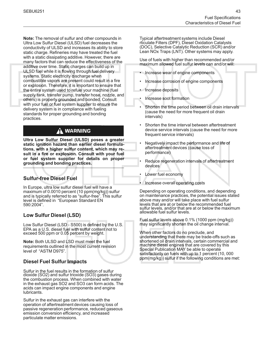**Note:** The removal of sulfur and other compounds in Ultra Low Sulfur Diesel (ULSD) fuel decreases the conductivity of ULSD and increases its ability to store static charge. Refineries may have treated the fuel with a static dissipating additive. However, there are many factors that can reduce the effectiveness of the additive over time. Static charges can build up in ULSD fuel while it is flowing through fuel delivery systems. Static electricity discharge when combustible vapors are present could result in a fire or explosion. Therefore, it is important to ensure that the entire system used to refuel your machine (fuel supply tank, transfer pump, transfer hose, nozzle, and others) is properly grounded and bonded. Consult with your fuel or fuel system supplier to ensure the delivery system is in compliance with fueling standards for proper grounding and bonding practices.

### $\Lambda$  WARNING

**Ultra Low Sulfur Diesel (ULSD) poses a greater static ignition hazard than earlier diesel formulations, with a higher sulfur content, which may result in a fire or explosion. Consult with your fuel or fuel system supplier for details on proper grounding and bonding practices.**

#### **Sulfur-free Diesel Fuel**

In Europe, ultra low sulfur diesel fuel will have a maximum of 0.0010 percent (10 ppm(mg/kg)) sulfur and is typically referred to as "sulfur-free". This sulfur level is defined in "European Standard EN 590:2004".

#### **Low Sulfur Diesel (LSD)**

Low Sulfur Diesel (LSD - S500) is defined by the U.S. EPA as a U.S. diesel fuel with sulfur content not to exceed 500 ppm or 0.05 percent by weight.

**Note:** Both ULSD and LSD must meet the fuel requirements outlined in the most current revision level of "ASTM D975".

#### **Diesel Fuel Sulfur Impacts**

Sulfur in the fuel results in the formation of sulfur dioxide (SO2) and sulfur trioxide (SO3) gases during the combustion process. When combined with water in the exhaust gas SO2 and SO3 can form acids. The acids can impact engine components and engine lubricants.

Sulfur in the exhaust gas can interfere with the operation of aftertreatment devices causing loss of passive regeneration performance, reduced gaseous emission conversion efficiency, and increased particulate matter emissions.

Typical aftertreatment systems include Diesel rticulate Filters (DPF), Diesel Oxidation Catalysts (DOC), Selective Catalytic Reduction (SCR) and/or Lean NOx Traps (LNT). Other systems may apply.

Use of fuels with higher than recommended and/or maximum allowed fuel sulfur levels can and/or will:

- Increase wear of engine components
- Increase corrosion of engine components
- Increase deposits
- Increase soot formation
- Shorten the time period between oil drain intervals (cause the need for more frequent oil drain intervals)
- Shorten the time interval between aftertreatment device service intervals (cause the need for more frequent service intervals)
- Negatively impact the performance and life of aftertreatment devices (cause loss of performance)
- Reduce regeneration intervals of aftertreatment devices
- Lower fuel economy
- Increase overall operating costs

Depending on operating conditions, and depending on maintenance practices, the potential issues stated above may and/or will take place with fuel sulfur levels that are at or below the recommended fuel sulfur levels, and/or that are at or below the maximum allowable fuel sulfur levels.

Fuel sulfur levels above 0.1% (1000 ppm (mg/kg)) may significantly shorten the oil change interval.

When other factors do no preclude, and understanding that there may be trade-offs such as shortened oil drain intervals, certain commercial and machine diesel engines that are covered by this Special Publication MAY be able to operate satisfactorily on fuels with up to 1 percent (10, 000 ppm(mg/kg)) sulfur if the following conditions are met: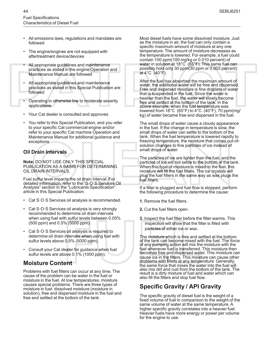- All emissions laws, regulations and mandates are followed
- The engine/engines are not equipped with aftertreatment device/devices
- All appropriate guidelines and maintenance practices as stated in the engine Operation and Maintenance Manual are followed
- All appropriate guidelines and maintenance practices as stated in this Special Publication are followed
- Operating in otherwise low to moderate severity applications
- Your Cat dealer is consulted and approves
- You refer to this Special Publication, and you refer to your specific Cat commercial engine and/or refer to your specific Cat machine Operation and Maintenance Manual for additional guidance and exceptions

#### **Oil Drain Intervals**

**Note:** DO NOT USE ONLY THIS SPECIAL PUBLICATION AS A BASIS FOR DETERMINING OIL DRAIN INTERVALS.

Fuel sulfur level impacts the oil drain interval. For detailed information, refer to the "S·O·S Services Oil Analysis" section in the "Lubricants Specification" article in this Special Publication.

- Cat S·O·S Services oil analysis is recommended.
- Cat S·O·S Services oil analysis is very strongly recommended to determine oil drain intervals when using fuel with sulfur levels between 0.05% (500 ppm) and 0.5% (5000 ppm).
- Cat S $\cdot$ O $\cdot$ S Services oil analysis is required to determine oil drain intervals when using fuel with sulfur levels above 0.5% (5000 ppm).
- Consult your Cat dealer for guidance when fuel sulfur levels are above 0.1% (1000 ppm).

### **Moisture Content**

Problems with fuel filters can occur at any time. The cause of the problem can be water in the fuel or moisture in the fuel. At low temperatures, moisture causes special problems. There are three types of moisture in fuel: dissolved moisture (moisture in solution), free and dispersed moisture in the fuel and free and settled at the bottom of the tank.

Most diesel fuels have some dissolved moisture. Just as the moisture in air, the fuel can only contain a specific maximum amount of moisture at any one temperature. The amount of moisture decreases as the temperature is lowered. For example, a fuel could contain 100 ppm(100 mg/kg or 0.010 percent) of water in solution at 18°C (65°F). This same fuel can possibly hold only 30 ppm(30 ppm or 0.003 percent) at 4°C (40°F).

After the fuel has absorbed the maximum amount of water, the additional water will be free and dispersed. Free and dispersed moisture is fine droplets of water that is suspended in the fuel. Since the water is heavier than the fuel, the water will slowly become free and settled at the bottom of the tank. In the above example, when the fuel temperature was lowered from 18°C (65°F) to 4°C (40°F), 70 ppm(mg/ kg) of water became free and dispersed in the fuel.

The small drops of water cause a cloudy appearance in the fuel. If the change in temperature is slow, the small drops of water can settle to the bottom of the tank. When the fuel temperature is lowered rapidly to freezing temperature, the moisture that comes out-ofsolution changes to fine particles of ice instead of small drops of water.

The particles of ice are lighter than the fuel, and the particles of ice will not settle to the bottom of the tank. When this type of moisture is mixed in the fuel, this moisture will fill the fuel filters. The ice crystals will plug the fuel filters in the same way as wax plugs the fuel filters.

If a filter is plugged and fuel flow is stopped, perform the following procedure to determine the cause:

- **1.** Remove the fuel filters.
- **2.** Cut the fuel filters open.
- **3.** Inspect the fuel filter before the filter warms. This inspection will show that the filter is filled with particles of either ice or wax.

The moisture which is free and settled at the bottom of the tank can become mixed with the fuel. The force of any pumping action will mix the moisture with the fuel whenever fuel is transferred. This moisture then becomes free and dispersed water. This moisture can cause ice in the filters. This moisture can cause other problems with filters at any temperature. Generally, the same force that mixes the water into the fuel will also mix dirt and rust from the bottom of the tank. The result is a dirty mixture of fuel and water which can also fill the filters and stop fuel flow.

### **Specific Gravity / API Gravity**

The specific gravity of diesel fuel is the weight of a fixed volume of fuel in comparison to the weight of the same volume of water at the same temperature. A higher specific gravity correlates into a heavier fuel. Heavier fuels have more energy or power per volume for the engine to use.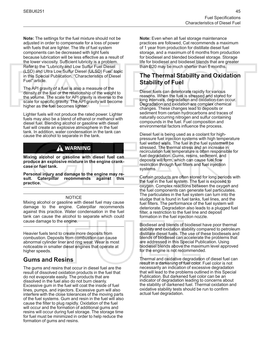**Note:** The settings for the fuel mixture should not be adjusted in order to compensate for a loss of power with fuels that are lighter. The life of fuel system components can be decreased with light fuels because lubrication will be less effective as a result of the lower viscosity. Sufficient lubricity is a problem. Refer to the "Lubricity and Low Sulfur Fuel Diesel (LSD) and Ultra Low Sulfur Diesel (ULSD) Fuel" topic in this Special Publication, "Characteristics of Diesel Fuel" article.

The API gravity of a fuel is also a measure of the density of the fuel or the relationship of the weight to the volume. The scale for API gravity is inverse to the scale for specific gravity. The API gravity will become higher as the fuel becomes lighter.

Lighter fuels will not produce the rated power. Lighter fuels may also be a blend of ethanol or methanol with diesel fuel. Blending alcohol or gasoline with diesel fuel will create an explosive atmosphere in the fuel tank. In addition, water condensation in the tank can cause the alcohol to separate in the tank.

### **WARNING**

**Mixing alcohol or gasoline with diesel fuel can produce an explosive mixture in the engine crankcase or fuel tank.**

**Personal injury and damage to the engine may re-Caterpillar recommends practice.**

#### **NOTICE**

Mixing alcohol or gasoline with diesel fuel may cause damage to the engine. Caterpillar recommends against this practice. Water condensation in the fuel tank can cause the alcohol to separate which could cause damage to the engine.

Heavier fuels tend to create more deposits from combustion. Deposits from combustion can cause abnormal cylinder liner and ring wear. Wear is most noticeable in smaller diesel engines that operate at higher speeds.

### **Gums and Resins**

The gums and resins that occur in diesel fuel are the result of dissolved oxidation products in the fuel that do not evaporate easily. The products that are dissolved in the fuel also do not burn cleanly. Excessive gum in the fuel will coat the inside of fuel lines, pumps, and injectors. Excessive gum will also interfere with the close tolerances of the moving parts of the fuel systems. Gum and resin in the fuel will also cause the filter to plug rapidly. Oxidation of the fuel will occur and the formation of additional gums and resins will occur during fuel storage. The storage time for fuel must be minimized in order to help reduce the formation of gums and resins.

**Note:** Even when all fuel storage maintenance practices are followed, Cat recommends a maximum of 1 year from production for distillate diesel fuel storage, and a maximum of 6 months from production for biodiesel and blended biodiesel storage. Storage life for biodiesel and biodiesel blends that are greater than B20 may be much shorter than 6 months.

### **The Thermal Stability and Oxidation Stability of Fuel**

Diesel fuels can deteriorate rapidly for various reasons. When the fuel is stressed and stored for long intervals, degradation and oxidation can occur. Degradation and oxidation are complex chemical changes. These changes lead to deposits or sediment from certain hydrocarbons and traces of naturally occurring nitrogen and sulfur containing compounds in the fuel. Fuel composition and environmental factors influence the process.

Diesel fuel is being used as a coolant for highpressure fuel injection systems with high temperature fuel wetted walls. The fuel in the fuel systemwill be stressed. The thermal stress and an increase in recirculation fuel temperature is often responsible for fuel degradation. Gums, resins, sediment, and deposits will form, which can cause fuel flow restriction through fuel filters and fuel injection systems.

Certain products are often stored for long periods with the fuel in the fuel system. The fuel is exposed to oxygen. Complex reactions between the oxygen and the fuel components can generate fuel particulates. The particulates in the fuel system can turn into the sludge that is found in fuel tanks, fuel lines, and the fuel filters. The performance of the fuel system will deteriorate. Degradation also leads to a plugged fuel filter, a restriction to the fuel line and deposit formation in the fuel injection nozzle.

Biodiesel and blends of biodiesel have poor thermal stability and oxidation stability compared to petroleum distillate diesel fuels. The use of these biodiesels and blends of biodiesel can accelerate the problems that are addressed in this Special Publication. Using biodiesel blends above the maximum level approved for the engine is not recommended.

Thermal and oxidative degradation of diesel fuel can result in a darkening of fuel color. Fuel color is not necessarily an indication of excessive degradation that will lead to the problems outlined in this Special Publication. But darkened fuel color can be an indicator of degradation leading to concerns about the stability of darkened fuel. Thermal oxidation and oxidative stability tests should be run to confirm actual fuel degradation.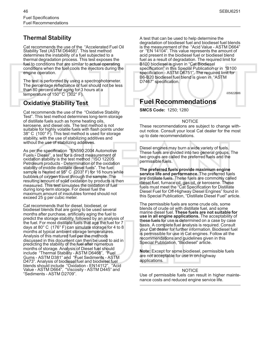### **Thermal Stability**

Cat recommends the use of the "Accelerated Fuel Oil Stability Test (ASTM D6468)". This test method determines the instability of a fuel subjected to a thermal degradation process. This test exposes the fuel to conditions that are similar to actual operating conditions when the fuel cools the injectors during the engine operation.

The test is performed by using a spectrophotometer. The percentage reflectance of fuel should not be less than 80 percent after aging for 3 hours at a temperature of 150° C (302° F).

### **Oxidative Stability Test**

Cat recommends the use of the "Oxidative Stability Test". This test method determines long-term storage of distillate fuels such as home heating oils, kerosene, and diesel oils. The test method is not suitable for highly volatile fuels with flash points under 38° C (100° F). This test method is used for storage stability, with the use of stabilizing additives and without the use of stabilizing additives.

As per the specification "EN590:2004 Automotive Fuels - Diesel", a test for a direct measurement of oxidation stability is the test method "ISO 12205 Petroleum products - Determination of the oxidation stability of middle distillate diesel fuels". The fuel sample is heated at 95° C (203° F) for 16 hours while bubbles of oxygen travel through the sample. The resulting amount of solid oxidation by products is then measured. This test simulates the oxidation of fuel during long-term storage. For diesel fuel the maximum amount of insolubles formed should not exceed 25 g per cubic meter.

Cat recommends that for diesel, biodiesel, or biodiesel blends that are going to be used several months after purchase, artificially aging the fuel to predict the storage stability, followed by an analysis of the fuel. For most distillate fuels that age the fuel for 7 days at 80° C (176° F) can simulate storage for 4 to 8 months at typical ambient storage temperatures. Analysis of this matured fuel per the methods discussed in this document can then be used to aid in predicting the stability of the fuel after numerous months of storage. Analysis of Diesel fuel should include "Thermal Stability - ASTM D6468", "Fuel Gums - ASTM D381" and "Fuel Sediments - ASTM D473". Analysis of biodiesel fuel and biodiesel fuel blends should include "Oxidation - EN14112", "Acid Value - ASTM D664", "Viscosity - ASTM D445" and "Sediments - ASTM D2709".

A test that can be used to help determine the degradation of biodiesel fuel and biodiesel fuel blends is the measurement of the "Acid Value - ASTM D664" or "EN 14104". This value represents the amount of acid present in the biodiesel fuel or biodiesel blend fuel as a result of degradation. The required limit for B100 biodiesel is given in "Cat Biodiesel specification" in this Special Publication or in "B100 specification - ASTM D6751". The required limit for B6-B20 biodiesel fuel blend is given in "ASTM D7467" specification.

i05822686

### <span id="page-15-0"></span>**Fuel Recommendations**

**SMCS Code:** 1250; 1280

#### NOTICE

These recommendations are subject to change without notice. Consult your local Cat dealer for the most up to date recommendations.

Diesel engines may burn a wide variety of fuels. These fuels are divided into two general groups. The two groups are called the preferred fuels and the permissible fuels.

**The preferred fuels provide maximum engine service life and performance.** The preferred fuels are distillate fuels. These fuels are commonly called diesel fuel, furnace oil, gas oil, or kerosene. These fuels must meet the "Cat Specification for Distillate Diesel Fuel for Off-Highway Diesel Engines" found in this Special Publication, "Distillate Diesel Fuel" article.

The permissible fuels are some crude oils, some blends of crude oil with distillate fuel, and some marine diesel fuel. **These fuels are not suitable for use in all engine applications.** The acceptability of these fuels for use is determined on a case by case basis. A complete fuel analysis is required. Consult your Cat dealer for further information. Biodiesel fuel is permissible for use in Cat engines. Follow all the recommendations and guidelines given in this Special Publication, "Biodiesel" article.

**Note:** Except for some biodiesel, permissible fuels are not acceptable for use in on-highway applications.

#### **NOTICE**

Use of permissible fuels can result in higher maintenance costs and reduced engine service life.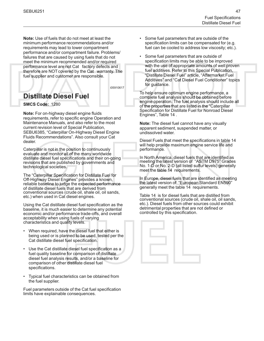**Note:** Use of fuels that do not meet at least the minimum performance recommendations and/or requirements may lead to lower compartment performance and/or compartment failure. Problems/ failures that are caused by using fuels that do not meet the minimum recommended and/or required performance level are not Cat factory defects and therefore are NOT covered by the Cat warranty. The fuel supplier and customer are responsible.

i05910617

### <span id="page-16-0"></span>**Distillate Diesel Fuel**

**SMCS Code:** 1280

**Note:** For on-highway diesel engine fluids requirements, refer to specific engine Operation and Maintenance Manuals, and also refer to the most current revision level of Special Publication, SEBU6385, "Caterpillar On-Highway Diesel Engine Fluids Recommendations". Also consult your Cat dealer.

Caterpillar is not in the position to continuously evaluate and monitor all of the many worldwide distillate diesel fuel specifications and their on-going revisions that are published by governments and technological societies.

The "Caterpillar Specification for Distillate Fuel for Off-Highway Diesel Engines" provides a known, reliable baseline to judge the expected performance of distillate diesel fuels that are derived from conventional sources (crude oil, shale oil, oil sands, etc.) when used in Cat diesel engines.

Using the Cat distillate diesel fuel specification as the baseline, it is much easier to determine any potential economic and/or performance trade-offs, and overall acceptability when using fuels of varying characteristics and quality levels.

- When required, have the diesel fuel that either is being used or is planned to be used, tested per the Cat distillate diesel fuel specification.
- Use the Cat distillate diesel fuel specification as a fuel quality baseline for comparison of distillate diesel fuel analysis results, and/or a baseline for comparison of other distillate diesel fuel specifications.
- Typical fuel characteristics can be obtained from the fuel supplier.

Fuel parameters outside of the Cat fuel specification limits have explainable consequences.

- Some fuel parameters that are outside of the specification limits can be compensated for (e.g. fuel can be cooled to address low viscosity; etc.).
- Some fuel parameters that are outside of specification limits may be able to be improved with the use of appropriate amounts of well proven fuel additives. Refer to this Special Publication, "Distillate Diesel Fuel" article, "Aftermarket Fuel Additives" and "Cat Diesel Fuel Conditioner" topics for guidance.

To help ensure optimum engine performance, a complete fuel analysis should be obtained before engine operation. The fuel analysis should include all of the properties that are listed in the "Caterpillar Specification for Distillate Fuel for Nonroad Diesel Engines", Table [14](#page-19-0) .

**Note:** The diesel fuel cannot have any visually apparent sediment, suspended matter, or undissolved water.

Diesel Fuels that meet the specifications in table [14](#page-19-0) will help provide maximum engine service life and performance.

In North America, diesel fuels that are identified as meeting the latest version of "ASTM D975" Grades No. 1-D or No. 2-D (all listed sulfur levels) generally meet the table [14](#page-19-0) requirements.

In Europe, diesel fuels that are identified as meeting the latest version of "European Standard EN590" generally meet the table [14](#page-19-0) requirements.

Table [14](#page-19-0) is for diesel fuels that are distilled from conventional sources (crude oil, shale oil, oil sands, etc.). Diesel fuels from other sources could exhibit detrimental properties that are not defined or controlled by this specification.

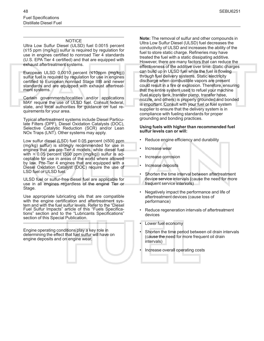#### **NOTICE**

Ultra Low Sulfur Diesel (ULSD) fuel 0.0015 percent (≤15 ppm (mg/kg)) sulfur is required by regulation for use in engines certified to nonroad Tier 4 standards (U.S. EPA Tier 4 certified) and that are equipped with exhaust aftertreatment systems.

European ULSD 0.0010 percent (≤10ppm (mg/kg)) sulfur fuel is required by regulation for use in engines certified to European nonroad Stage IIIB and newer standards and are equipped with exhaust aftertreatment systems.

Certain governments/localities and/or applications MAY require the use of ULSD fuel. Consult federal, state, and local authorities for guidance on fuel requirements for your area.

Typical aftertreatment systems include Diesel Particulate Filters (DPF), Diesel Oxidation Catalysts (DOC), Selective Catalytic Reduction (SCR) and/or Lean NOx Traps (LNT). Other systems may apply.

Low sulfur diesel (LSD) fuel 0.05 percent (≤500 ppm (mg/kg) sulfur) is strongly recommended for use in engines that are pre-Tier 4 models, while diesel fuel with  $> 0.05$  percent (500 ppm (mg/kg)) sulfur is acceptable for use in areas of the world where allowed by law. Pre-Tier 4 engines that are equipped with a Diesel Oxidation Catalyst (DOC) require the use of LSD fuel or ULSD fuel.

ULSD fuel or sulfur-free diesel fuel are applicable for use in all engines regardless of the engine Tier or Stage.

Use appropriate lubricating oils that are compatible with the engine certification and aftertreatment system and with the fuel sulfur levels. Refer to the "Diesel Fuel Sulfur Impacts" article of this "Fuels Specifications" section and to the "Lubricants Specifications" section of this Special Publication.

Engine operating conditions play a key role in determining the effect that fuel sulfur will have on engine deposits and on engine wear.

**Note:** The removal of sulfur and other compounds in Ultra Low Sulfur Diesel (ULSD) fuel decreases the conductivity of ULSD and increases the ability of the fuel to store static charge. Refineries may have treated the fuel with a static dissipating additive. However, there are many factors that can reduce the effectiveness of the additive over time. Static charges can build up in ULSD fuel while the fuel is flowing through fuel delivery systems. Static electricity discharge when combustible vapors are present could result in a fire or explosion. Therefore, ensuring that the entire system used to refuel your machine (fuel supply tank, transfer pump, transfer hose, nozzle, and others) is properly grounded and bonded is important. Consult with your fuel or fuel system supplier to ensure that the delivery system is in compliance with fueling standards for proper grounding and bonding practices.

#### **Using fuels with higher than recommended fuel sulfur levels can or will:**

- Reduce engine efficiency and durability
- Increase wear
- Increase corrosion
- Increase deposits
- Shorten the time interval between aftertreatment device service intervals (cause the need for more frequent service intervals)
- Negatively impact the performance and life of aftertreatment devices (cause loss of performance)
- Reduce regeneration intervals of aftertreatment devices
- Lower fuel economy
- Shorten the time period between oil drain intervals (cause the need for more frequent oil drain intervals)
- Increase overall operating costs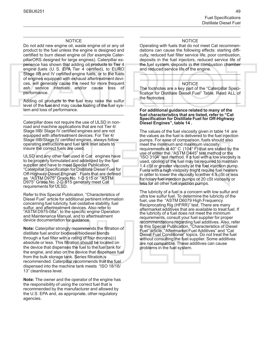#### **NOTICE**

Do not add new engine oil, waste engine oil or any oil product to the fuel unless the engine is designed and certified to burn diesel engine oil (for example CaterpillarORS designed for large engines). Caterpillar experience has shown that adding oil products to Tier 4 engine fuels (U. S. EPA Tier 4 certified), to EURO Stage IIB and IV certified engine fuels, or to the fuels of engines equipped with exhaust aftertreatment devices, will generally cause the need for more frequent ash service intervals and/or cause loss of performance.

Adding oil products to the fuel may raise the sulfur level of the fuel and may cause fouling of the fuel system and loss of performance.

Caterpillar does not require the use of ULSD in nonroad and machine applications that are not Tier 4/ Stage IIIB/ Stage IV certified engines and are not equipped with aftertreatment devices. For Tier 4/ Stage IIIB/Stage IV certified engines, always follow operating instructions and fuel tank inlet labels to insure the correct fuels are used.

ULSD and any other fuel used in Cat engines have to be properly formulated and addetized by the fuel supplier and have to meet Special Publication, "Caterpillar Specification for Distillate Diesel Fuel for Off-Highway Diesel Engines". Fuels that are defined as "ASTM D975" Grade No. 1-D S15 or "ASTM D975" Grade No. 2-D S15 generally meet Cat requirements for ULSD.

Refer to this Special Publication, "Characteristics of Diesel Fuel" article for additional pertinent information concerning fuel lubricity, fuel oxidative stability, fuel sulfur, and aftertreatment devices. Also refer to "ASTM D975-08a", to the specific engine Operation and Maintenance Manual, and to aftertreatment device documentation for guidance.

**Note:** Caterpillar strongly recommends the filtration of distillate fuel and/or biodiesel/biodiesel blends through a fuel filter with a rating of four microns(c) absolute or less. This filtration should be located on the device that dispenses the fuel to the fuel tank for the engine, and also on the device that dispenses fuel from the bulk storage tank. Series filtration is recommended. Caterpillar recommends that the fuel dispensed into the machine tank meets "ISO 18/16/ 13" cleanliness level.

**Note:** The owner and the operator of the engine has the responsibility of using the correct fuel that is recommended by the manufacturer and allowed by the U.S. EPA and, as appropriate, other regulatory agencies.

#### NOTICE

Operating with fuels that do not meet Cat recommendations can cause the following effects: starting difficulty, reduced fuel filter service life, poor combustion, deposits in the fuel injectors, reduced service life of the fuel system, deposits in the combustion chamber and reduced service life of the engine.

#### NOTICE

The footnotes are a key part of the "Caterpillar Specification for Distillate Diesel Fuel" Table. Read ALL of the footnotes.

#### **For additional guidance related to many of the fuel characteristics that are listed, refer to "Cat Specification for Distillate Fuel for Off-Highway Diesel Engines", table [14](#page-19-0) .**

The values of the fuel viscosity given in table [14](#page-19-0) are the values as the fuel is delivered to the fuel injection pumps. For ease of comparison, fuels should also meet the minimum and maximum viscosity requirements at 40° C (104° F) that are stated by the use of either the "ASTM D445" test method or the "ISO 3104" test method. If a fuel with a low viscosity is used, cooling of the fuel may be required to maintain 1.4 cSt or greater viscosity at the fuel injection pump. Fuels with a high viscosity might require fuel heaters in order to lower the viscosity to either 4.5 cSt or less for rotary fuel injection pumps or 20 cSt viscosity or less for all other fuel injection pumps.

The lubricity of a fuel is a concern with low sulfur and ultra low sulfur fuel. To determine the lubricity of the fuel, use the "ASTM D6079 High Frequency Reciprocating Rig (HFRR)" test. There are many aftermarket additives that are available to treat fuel. If the lubricity of a fuel does not meet the minimum requirements, consult your fuel supplier for proper recommendations regarding fuel additives. Also, refer to this Special Publication, "Characteristics of Diesel Fuel" article, "Aftermarket Fuel Additives" and "Cat Diesel Fuel Conditioner" topics. Do not treat the fuel without consulting the fuel supplier. Some additives are not compatible. These additives can cause problems in the fuel system.

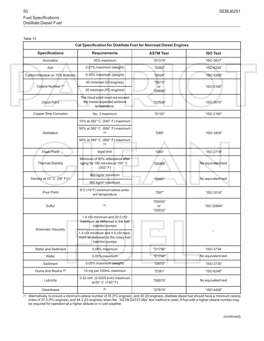<span id="page-19-1"></span><span id="page-19-0"></span>

| Table |  |
|-------|--|
|       |  |

| <b>Specifications</b>                   | <b>Requirements</b>                                                                         | <b>ASTM Test</b>         | <b>ISO Test</b>    |  |
|-----------------------------------------|---------------------------------------------------------------------------------------------|--------------------------|--------------------|--|
| Aromatics                               | 35% maximum                                                                                 | "D1319"                  | "ISO 3837"         |  |
| Ash                                     | 0.01% maximum (weight)                                                                      | "D482"                   | "ISO 6245"         |  |
| Carbon Residue on 10% Bottoms           | 0.35% maximum (weight)                                                                      | "D524"                   | "ISO 4262"         |  |
|                                         | 40 minimum (DI engines)                                                                     | "D613"                   |                    |  |
| Cetane Number (1)                       | 35 minimum (PC engines)                                                                     | or<br>"D6890"            | "ISO 5165"         |  |
| <b>Cloud Point</b>                      | The cloud point must not exceed<br>the lowest expected ambient<br>temperature.              | "D2500"                  | "ISO 3015"         |  |
| Copper Strip Corrosion                  | No. 3 maximum                                                                               | "D130"                   | "ISO 2160"         |  |
|                                         | 10% at 282° C (540° F) maximum                                                              |                          |                    |  |
| Distillation                            | 90% at 360° C (680° F) maximum<br>(2)                                                       | "D86"                    | "ISO 3405"         |  |
|                                         | 90% at 350° C (662° F) maximum<br>(2)                                                       |                          |                    |  |
| Flash Point                             | legal limit                                                                                 | "D93"                    | "ISO 2719"         |  |
| <b>Thermal Stability</b>                | Minimum of 80% reflectance after<br>aging for 180 minutes at 150° C<br>$(302^{\circ} F)$    | "D6468"                  | No equivalent test |  |
|                                         | 800 kg/m <sup>3</sup> minimum                                                               |                          |                    |  |
| Density at 15° C (59° F) <sup>(3)</sup> | 860 kg/m <sup>3</sup> maximum                                                               | "D287"                   | No equivalent test |  |
| Pour Point                              | 6°C (10°F) minimum below ambi-<br>ent temperature                                           | "D97"                    | "ISO 3016"         |  |
| Sulfur                                  | (4)                                                                                         | "D5453"<br>or<br>"D2622" | "ISO 20884"        |  |
|                                         | 1.4 cSt minimum and 20.0 cSt<br>maximum as delivered to the fuel<br>injection pumps         |                          |                    |  |
| <b>Kinematic Viscosity</b>              | 1.4 cSt minimum and 4.5 cSt maxi-<br>mum as delivered to the rotary fuel<br>injection pumps |                          |                    |  |
| Water and Sediment                      | 0.05% maximum                                                                               | "D1796"                  | "ISO 3734"         |  |
| Water                                   | 0.05% maximum                                                                               | "D1744"                  | No equivalent test |  |
| Sediment                                | 0.05% maximum (weight)                                                                      | "D473"                   | "ISO 3735"         |  |
| Gums and Resins (5)                     | 10 mg per 100mL maximum                                                                     | "D381"                   | "ISO 6246"         |  |
| Lubricity                               | 0.52 mm (0.0205 inch) maximum<br>at 60° C (140° F)                                          | "D6079"                  | No equivalent test |  |
| Cleanliness                             | (6)                                                                                         | "D7619"                  | "ISO 4406"         |  |

(1) Alternatively, to ensure a minimum cetane number of 35 (PC engines), and 40 (DI engines), distillate diesel fuel should have a minimum cetane index of 37.5 (PC engines), and 44.2 (DI engines) when the "ASTM D4737-96a" test method is used. A fuel with a higher cetane number may be required for operation at a higher altitude or in cold weather.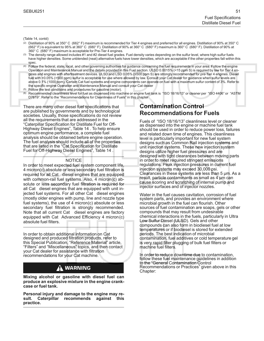(Table 14, contd)

- (2) Distillation of 90% at 350° C (662° F) maximum is recommended for Tier 4 engines and preferred for all engines. Distillation of 90% at 350° C (662° F) is equivalent to 95% at 360° C (680° F). Distillation of 90% at 360° C (680° F) maximum is 360° C (680° F). Distillation of 90% at 360° C (680° F) maximum is acceptable for Pre-Tier 4 engines.
- (3) The density range allowed includes #1 and #2 diesel fuel grades. Fuel density varies depending on the sulfur level, where high sulfur fuels have higher densities. Some unblended (neat) alternative fuels have lower densities, which are acceptable if the other properties fall within this spec.
- (4) Follow the federal, state, local, and other governing authorities for guidance concerning the fuel requirements in your area. Follow the engine Operation and Maintenance Manual and the details provided in this Fuel section. ULSD 0.0015% (<15 ppm S) is required by law for Tier 4 engines and engines with aftertreatment devices. ULSD and LSD 0.05% (≤500 ppm S) are strongly recommended for pre-Tier 4 engines. Diesel fuel with >0.05% (>500 ppm) sulfur is acceptable for use where allowed by law. Consult your Cat dealer for guidance when sulfur levels are above 0.1% (1000 ppm). Certain Cat fuel systems and engine components can operate on fuel with a maximum sulfur content of 3%. Refer to the specific engine Operation and Maintenance Manual and consult your Cat dealer
- (5) Follow the test conditions and procedures for gasoline (motor).
- (6) Recommended cleanliness level for fuel as dispensed into machine or engine fuel tank is "ISO 18/16/13" or cleaner per "ISO 4406" or "ASTM D7619". Refer to the "Recommendations for Cleanliness of Fuels" in this chapter

There are many other diesel fuel specifications that are published by governments and by technological societies. Usually, those specifications do not review all the requirements that are addressed in the "Caterpillar Specification for Distillate Fuel for Off-Highway Diesel Engines", Table 14 . To help ensure optimum engine performance, a complete fuel analysis should be obtained before engine operation. The fuel analysis should include all of the properties that are listed in the "Cat Specification for Distillate Fuel for Off-Highway Diesel Engines", Table 14 .

#### **NOTICE**

In order to meet expected fuel system component life, 4 micron(c) absolute or less secondary fuel filtration is required for all Cat diesel engines that are equipped with common-rail fuel systems. Also, 4 micron(c) absolute or less secondary fuel filtration is required for all Cat diesel engines that are equipped with unit injected fuel systems. For all other Cat diesel engines (mostly older engines with pump, line and nozzle type fuel systems), the use of 4 micron(c) absolute or less secondary fuel filtration is strongly recommended. Note that all current Cat diesel engines are factory equipped with Cat Advanced Efficiency 4 micron (c) absolute fuel filters.

In order to obtain additional information on Cat designed and produced filtration products, refer to this Special Publication, "Reference Material" article, "Filters" and "Miscellaneous" topics, and then contact your Cat dealer for assistance with filtration recommendations for your Cat machine.

### **WARNING**

**Mixing alcohol or gasoline with diesel fuel can produce an explosive mixture in the engine crankcase or fuel tank.**

**Personal injury and damage to the engine may result. Caterpillar recommends against this practice.**

### **Contamination Control Recommendations for Fuels**

Fuels of "ISO 18/16/13" cleanliness level or cleaner as dispensed into the engine or machine fuel tank should be used in order to reduce power loss, failures and related down time of engines. This cleanliness level is particularly important for new fuel system designs such as Common Rail injection systems and unit injection systems. These new injection system designs utilize higher fuel pressures and are designed with tight clearances between moving parts in order to meet required stringent emissions regulations. Peak injection pressures in current fuel injection systems may exceed 30,000 psi. Clearances in these systems are less than 5 µm. As a result, particle contaminants as small as 4 µm can cause scoring and scratching of internal pump and injector surfaces and of injector nozzles.

Water in the fuel causes cavitation, corrosion of fuel system parts, and provides an environment where microbial growth in the fuel can flourish. Other sources of fuel contamination are soaps, gels or other compounds that may result from undesirable chemical interactions in the fuels, particularly in Ultra Low Sulfur Diesel (ULSD). Gels and other compounds can also form in biodiesel fuel at low temperatures or if biodiesel is stored for extended periods. The best indication of microbial contamination, fuel additives or cold temperature gel is very rapid filter plugging of bulk fuel filters or machine fuel filters.

In order to reduce downtime due to contamination, follow these fuel maintenance guidelines in addition to the "General Contamination Control Recommendations or Practices" given above in this Chapter: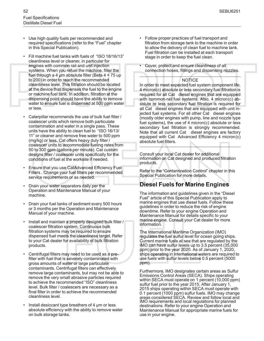- Use high quality fuels per recommended and required specifications (refer to the "Fuel" chapter in this Special Publication).
- Fill machine fuel tanks with fuels of "ISO 18/16/13" cleanliness level or cleaner, in particular for engines with common rail and unit injection systems. When you refuel the machine, filter the fuel through a 4  $\mu$ m absolute filter (Beta 4 = 75 up to 200) in order to reach the recommended cleanliness level. This filtration should be located at the device that dispenses the fuel to the engine or machine fuel tank. In addition, filtration at the dispensing point should have the ability to remove water to ensure fuel is dispensed at 500 ppm water or less.
- Caterpillar recommends the use of bulk fuel filter / coalescer units which remove both particulate contamination and water in a single pass. These units have the ability to clean fuel to "ISO 16/13/ 11" or cleaner and remove free water to 500 ppm (mg/kg) or less. Cat offers heavy duty filter / coalescer units to accommodate fueling rates from 50 to 300 gpm (gallons per minute). Cat custom designs filter / coalescer units specifically for the conditions of fuel at the worksite if needed.
- Ensure that you use CatAdvanced Efficiency Fuel Filters . Change your fuel filters per recommended service requirements or as needed.
- Drain your water separators daily per the Operation and Maintenance Manual of your machine.
- Drain your fuel tanks of sediment every 500 hours or 3 months per the Operation and Maintenance Manual of your machine.
- Install and maintain a properly designed bulk filter / coalescer filtration system. Continuous bulk filtration systems may be required to ensure dispensed fuel meets the cleanliness target. Refer to your Cat dealer for availability of bulk filtration products.
- Centrifugal filters may need to be used as a prefilter with fuel that is severely contaminated with gross amounts of water or large particulate contaminants. Centrifugal filters can effectively remove large contaminants, but may not be able to remove the very small abrasive particles required to achieve the recommended "ISO" cleanliness level. Bulk filter / coalescers are necessary as a final filter in order to achieve the recommended cleanliness level.
- Install desiccant type breathers of 4  $\mu$ m or less absolute efficiency with the ability to remove water on bulk storage tanks.
- Follow proper practices of fuel transport and filtration from storage tank to the machine in order to allow the delivery of clean fuel to machine tank. Fuel filtration can be installed at each transport stage in order to keep the fuel clean.
- Cover, protect and ensure cleanliness of all connection hoses, fittings and dispensing nozzles.

#### **NOTICE**

In order to meet expected fuel system component life, 4 micron(c) absolute or less secondary fuel filtration is required for all Cat diesel engines that are equipped with common-rail fuel systems. Also, 4 micron(c) absolute or less secondary fuel filtration is required for all Cat diesel engines that are equipped with unit injected fuel systems. For all other Cat diesel engines (mostly older engines with pump, line and nozzle type fuel systems), the use of 4 micron(c) absolute or less secondary fuel filtration is strongly recommended. Note that all current Cat diesel engines are factory equipped with Cat Advanced Efficiency 4 micron (c) absolute fuel filters.

Consult your local Cat dealer for additional information on Cat designed and produced filtration products.

Refer to the "Contamination Control" chapter in this Special Publication for more details.

### **Diesel Fuels for Marine Engines**

The information and guidelines given in the "Diesel Fuel" article of this Special Publication apply to marine engines that use diesel fuels. Follow these guidelines in order to reduce the risk of engine downtime. Refer to your engine Operation and Maintenance Manual for details specific to your marine engine. Consult your Cat dealer for more information.

The International Maritime Organization (IMO) regulates the fuel sulfur level for ocean going ships. Current marine fuels at sea that are regulated by the IMO can have sulfur levels up to 3.5 percent (35,000 ppm) prior to the year 2020. As of January 1, 2020, ships operating in international waters are required to use fuels with sulfur levels below 0.5 percent (5000 ppm).

Furthermore, IMO designates certain areas as Sulfur Emissions Control Areas (SECA). Ships operating within SECA must operate on 1 percent (10,000 ppm) sulfur fuel prior to the year 2015. After January 1, 2015 ships operating within SECA must operate with 0.1 percent (1000 ppm) sulfur fuels. IMO may change areas considered SECA. Review and follow local and IMO requirements and local regulations for planned destinations. Refer to your engine Operation and Maintenance Manual for appropriate marine fuels for use in your engine.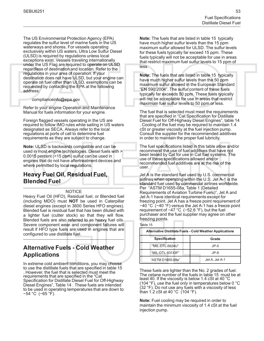The US Environmental Protection Agency (EPA) regulates the sulfur level of marine fuels in the US waterways and shores. For vessels operating exclusively within US waters, Ultra Low Sulfur Diesel (ULSD) is required by regulations unless local exceptions exist. Vessels traveling internationally under the US Flag are required to operate on ULSD regardless of destination and location. Refer to the regulations in your area of operation. If your destination does not have ULSD, but your engine can operate on fuel other than ULSD, exemptions can be requested by contacting the EPA at the following address:

complianceinfo@epa.gov

Refer to your engine Operation and Maintenance Manual for fuels information for your engine.

Foreign flagged vessels operating in the US are required to follow IMO rules while sailing in US waters designated as SECA. Always refer to the local regulations at ports of call to determine fuel requirements as they are subject to change.

**Note:** ULSD is backwards compatible and can be used in most engine technologies. Diesel fuels with > 0.0015 percent (>15 ppm) sulfur can be used in engines that do not have aftertreatment devices and where permitted by local regulations.

### **Heavy Fuel Oil, Residual Fuel, Blended Fuel**

#### **NOTICE**

Heavy Fuel Oil (HFO), Residual fuel, or Blended fuel (including MDO) must **NOT** be used in Caterpillar diesel engines (except in 3600 Series HFO engines). Blended fuel is residual fuel that has been diluted with a lighter fuel (cutter stock) so that they will flow. Blended fuels are also referred to as heavy fuel oils. Severe component wear and component failures will result if HFO type fuels are used in engines that are configured to use distillate fuel.

#### **Alternative Fuels - Cold Weather Applications**

In extreme cold ambient conditions, you may choose to use the distillate fuels that are specified in table [15](#page-22-0) . However, the fuel that is selected must meet the requirements that are specified in the "Cat Specification for Distillate Diesel Fuel for Off-Highway Diesel Engines", Table 14 . These fuels are intended to be used in operating temperatures that are down to −54 °C (−65 °F).

**Note:** The fuels that are listed in table [15](#page-22-0) typically have much higher sulfur levels than the 15 ppm maximum sulfur allowed for ULSD. The sulfur levels for these fuels typically far exceed 15 ppm. These fuels typically will not be acceptable for use in areas that restrict maximum fuel sulfur levels to 15 ppm of less.

**Note:** The fuels that are listed in table [15](#page-22-0) typically have much higher sulfur levels than the 50 ppm maximum sulfur allowed in the European Standard "EN 590:2004". The sulfur content of these fuels typically far exceeds 50 ppm. These fuels typically will not be acceptable for use in areas that restrict maximum fuel sulfur levels to 50 ppm or less.

The fuel that is selected must meet the requirements that are specified in "Cat Specification for Distillate Diesel Fuel for Off-Highway Diesel Engines", table 14 . Cooling of the fuel may be required to maintain 1.4 cSt or greater viscosity at the fuel injection pump. Consult the supplier for the recommended additives in order to maintain the proper fuel lubricity.

The fuel specifications listed in this table allow and/or recommend the use of fuel additives that have not been tested by Cat for use in Cat fuel systems. The use of these specifications allowed and/or recommended fuel additives are at the risk of the user.

Jet A is the standard fuel used by U.S. commercial airlines when operating within the U.S. Jet A-1 is the standard fuel used by commercial airlines worldwide. Per "ASTM D1655-08a, Table 1 (Detailed Requirements of Aviation Turbine Fuels)", Jet A and Jet A-1 have identical requirements except for freezing point. Jet A has a freeze point requirement of −40 °C (−40 °F) versus the Jet A-1 has a freeze point requirement of −47 °C (−52.6 °F), but the fuel purchaser and the fuel supplier may agree on other freezing points.

<span id="page-22-0"></span>

| Table |  |
|-------|--|
|-------|--|

| <b>Alternative Distillate Fuels - Cold Weather Applications</b> |                |  |  |
|-----------------------------------------------------------------|----------------|--|--|
| <b>Specification</b><br>Grade                                   |                |  |  |
| "MIL-DTL-5624U"                                                 | $JP-5$         |  |  |
| "MIL-DTL-83133F"                                                | $JP-8$         |  |  |
| "ASTM D1655-08a"                                                | Jet A. Jet A-1 |  |  |

These fuels are lighter than the No. 2 grades of fuel. The cetane number of the fuels in table 15 must be at least 40. If the viscosity is below 1.4 cSt at 40 °C (104  $\degree$ F), use the fuel only in temperatures below 0  $\degree$ C (32 °F). Do not use any fuels with a viscosity of less than 1.2 cSt at 40 °C (104 °F).

**Note:** Fuel cooling may be required in order to maintain the minimum viscosity of 1.4 cSt at the fuel injection pump.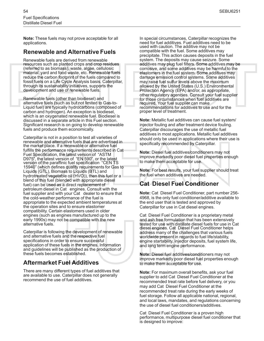**Note:** These fuels may not prove acceptable for all applications.

### **Renewable and Alternative Fuels**

Renewable fuels are derived from renewable resources such as planted crops and crop residues (referred to as biomass), waste, algae, cellulosic material, yard and food waste, etc. Renewable fuels reduce the carbon footprint of the fuels compared to fossil fuels on a Life Cycle Analysis basis. Caterpillar, through its sustainability initiatives, supports the development and use of renewable fuels.

Renewable fuels (other than biodiesel) and alternative fuels (such as but not limited to Gas-to-Liquid fuel) are typically hydrocarbons (composed of carbon and hydrogen). An exception is biodiesel, which is an oxygenated renewable fuel. Biodiesel is discussed in a separate article in this Fuel section. Significant research is on going to develop renewable fuels and produce them economically.

Caterpillar is not in a position to test all varieties of renewable and alternative fuels that are advertised in the market place. If a renewable or alternative fuel fulfills the performance requirements described in Cat Fuel Specification, the latest version of "ASTM D975", the latest version of "EN 590", or the latest version of the paraffinic fuel specification "CEN TS 15940" (which defines quality requirements for Gas to Liquids (GTL), Biomass to Liquids (BTL) and hydrotreated vegetable oil (HVO)), then this fuel or a blend of this fuel (blended with appropriate diesel fuel) can be used as a direct replacement of petroleum diesel in Cat engines. Consult with the fuel supplier and with your Cat dealer to ensure that the cold-weather performance of the fuel is appropriate to the expected ambient temperatures at the operation sites and to ensure elastomer compatibility. Certain elastomers used in older engines (such as engines manufactured up to the early 1990s) may not be compatible with the new alternative fuels.

Caterpillar is following the development of renewable and alternative fuels and the respective fuel specifications in order to ensure successful application of these fuels in the engines. Information and guidelines will be published as the production of these fuels becomes established.

### **Aftermarket Fuel Additives**

There are many different types of fuel additives that are available to use. Caterpillar does not generally recommend the use of fuel additives.

In special circumstances, Caterpillar recognizes the need for fuel additives. Fuel additives need to be used with caution. The additive may not be compatible with the fuel. Some additives may precipitate. This action causes deposits in the fuel system. The deposits may cause seizure. Some additives may plug fuel filters. Some additives may be corrosive, and some additives may be harmful to the elastomers in the fuel system. Some additives may damage emission control systems. Some additives may raise fuel sulfur levels above the maximum allowed by the United States (U.S.) Environmental Protection Agency (EPA) and/or, as appropriate, other regulatory agencies. Consult your fuel supplier for those circumstances when fuel additives are required. Your fuel supplier can make recommendations for additives to use and for the proper level of treatment.

**Note:** Metallic fuel additives can cause fuel system/ injector fouling and after treatment device fouling. Caterpillar discourages the use of metallic fuel additives in most applications. Metallic fuel additives should only be used in applications where their use is specifically recommended by Caterpillar.

**Note:** Diesel fuel additives/conditioners may not improve markedly poor diesel fuel properties enough to make them acceptable for use.

**Note:** For best results, your fuel supplier should treat the fuel when additives are needed.

### **Cat Diesel Fuel Conditioner**

**Note:** Cat Diesel Fuel Conditioner, part number 256- 4968, is the only fuel conditioner/additive available to the end user that is tested and approved by Caterpillar for use in Cat diesel engines.

Cat Diesel Fuel Conditioner is a proprietary metal and ash free formulation that has been extensively tested for use with distillate diesel fuels for use in Cat diesel engines. Cat Diesel Fuel Conditioner helps address many of the challenges that various fuels worldwide present in regards to fuel life/stability, engine startability, injector deposits, fuel system life, and long term engine performance.

**Note:** Diesel fuel additives/conditioners may not improve markedly poor diesel fuel properties enough to make them acceptable for use.

**Note:** For maximum overall benefits, ask your fuel supplier to add Cat Diesel Fuel Conditioner at the recommended treat rate before fuel delivery, or you may add Cat Diesel Fuel Conditioner at the recommended treat rate during the early weeks of fuel storage. Follow all applicable national, regional, and local laws, mandates, and regulations concerning the use of diesel fuel conditioners/additives.

Cat Diesel Fuel Conditioner is a proven high performance, multipurpose diesel fuel conditioner that is designed to improve: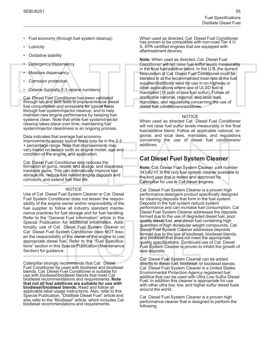- Fuel economy (through fuel system cleanup)
- **Lubricity**
- Oxidative stability
- Detergency/dispersancy
- Moisture dispersancy
- Corrosion protection
- Cetane (typically 2-3 cetane numbers)

Cat Diesel Fuel Conditioner has been validated through lab and field tests to improve/reduce diesel fuel consumption and emissions for typical fleets through fuel system/injector cleanup, and to help maintain new engine performance by keeping fuel systems clean. Note that while fuel system/injector cleanup takes place over time, maintaining fuel system/injector cleanliness is an ongoing process.

Data indicates that average fuel economy improvements across typical fleets may be in the 2-3 + percentage range. Note that improvements may vary based on factors such as engine model, age and condition of the engine, and application.

Cat Diesel Fuel Conditioner also reduces the formation of gums, resins, and sludge, and disperses insoluble gums. This can dramatically improve fuel storage life, reduce fuel related engine deposits and corrosion, and extend fuel filter life.

#### NOTICE

Use of Cat Diesel Fuel System Cleaner or Cat Diesel Fuel System Conditioner does not lessen the responsibility of the engine owner and/or responsibility of the fuel supplier to follow all industry standard maintenance practices for fuel storage and for fuel handling. Refer to the "General Fuel Information" article in this Special Publication for additional information. Additionally, use of Cat Diesel Fuel System Cleaner or Cat Diesel Fuel System Conditioner does NOT lessen the responsibility of the owner of the engine to use appropriate diesel fuel. Refer to the "Fuel Specifications" section in this Special Publication (Maintenance Section) for guidance.

Caterpillar strongly recommends that Cat Diesel Fuel Conditioner be used with biodiesel and biodiesel blends. Cat Diesel Fuel Conditioner is suitable for use with biodiesel/biodiesel blends that meet Cat biodiesel recommendations and requirements. **Note that not all fuel additives are suitable for use with biodiesel/biodiesel blends.** Read and follow all applicable label usage instructions. Also, refer to this Special Publication, "Distillate Diesel Fuel" article and also refer to the "Biodiesel" article, which includes Cat biodiesel recommendations and requirements.

When used as directed, Cat Diesel Fuel Conditioner has proven to be compatible with non-road Tier 4 U. S. EPA certified engines that are equipped with aftertreatment devices.

**Note:** When used as directed, Cat Diesel Fuel Conditioner will not raise fuel sulfur levels measurably in the final fuel/additive blend. In the U.S. the current formulation of Cat Diesel Fuel Conditioner must be blended in at the recommended treat-rate at the fuel supplier/distributor level for use in on-highway or other applications where use of ULSD fuel is mandated (15 ppm or less fuel sulfur). Follow all applicable national, regional, and local laws, mandates, and regulations concerning the use of diesel fuel conditioners/additives.

#### **NOTICE**

When used as directed Cat Diesel Fuel Conditioner will not raise fuel sulfur levels measurably in the final fuel/additive blend. Follow all applicable national, regional, and local laws, mandates, and regulations concerning the use of diesel fuel conditioners/ additives.

### **Cat Diesel Fuel System Cleaner**

**Note:** Cat Diesel Fuel System Cleaner, part number 343-6210, is the only fuel system cleaner available to the end user that is tested and approved by Caterpillar for use in Cat diesel engines.

Cat Diesel Fuel System Cleaner is a proven high performance detergent product specifically designed for cleaning deposits that form in the fuel system. Deposits in the fuel system reduce system performance and can increase fuel consumption. Cat Diesel Fuel System Cleaner addresses the deposits formed due to the use of degraded diesel fuel, poor quality diesel fuel, and diesel fuel containing high quantities of high molecular weight compounds. Cat Diesel Fuel System Cleaner addresses deposits formed due to the use of biodiesel, biodiesel blends, and biodiesel that does not meet the appropriate quality specifications. Continued use of Cat Diesel Fuel System Cleaner is proven to inhibit the growth of new deposits.

Cat Diesel Fuel System Cleaner can be added directly to diesel fuel, biodiesel, or biodiesel blends. Cat Diesel Fuel System Cleaner is a United States Environmental Protection Agency registered fuel additive that can be used with Ultra Low Sulfur Diesel Fuel. In addition this cleaner is appropriate for use with other ultra low, low, and higher sulfur diesel fuels around the world.

Cat Diesel Fuel System Cleaner is a proven high performance cleaner that is designed to perform the following: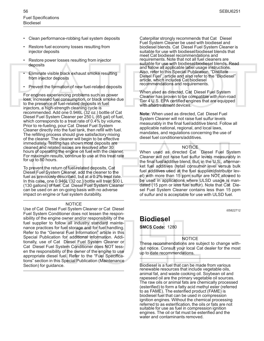- Clean performance-robbing fuel system deposits
- Restore fuel economy losses resulting from injector deposits
- Restore power losses resulting from injector deposits
- Eliminate visible black exhaust smoke resulting from injector deposits
- Prevent the formation of new fuel-related deposits

For engines experiencing problems such as power loss, increased fuel consumption, or black smoke due to the presence of fuel-related deposits in fuel injectors, a high-strength cleaning cycle is recommended. Add one 0.946L (32 oz.) bottle of Cat Diesel Fuel System Cleaner per 250 L (65 gal) of fuel, which corresponds to a treat rate of 0.4% by volume. Prior to re-fueling, pour Cat Diesel Fuel System Cleaner directly into the fuel tank, then refill with fuel. The refilling process should give satisfactory mixing of the cleaner. The cleaner will begin to be effective immediately. Testing has shown most deposits are cleaned and related issues are resolved after 30 hours of operating the engine on fuel with the cleaner. For maximum results, continue to use at this treat rate for up to 80 hours.

To prevent the return of fuel-related deposits, Cat Diesel Fuel System Cleaner, add the cleaner to the fuel as previously described, but at a 0.2% treat rate. In this case, one 0.946L (32 oz.) bottle will treat 500 L (130 gallons) of fuel. Cat Diesel Fuel System Cleaner can be used on an on-going basis with no adverse impact on engine or fuel system durability.

#### **NOTICE**

Use of Cat Diesel Fuel System Cleaner or Cat Diesel Fuel System Conditioner does not lessen the responsibility of the engine owner and/or responsibility of the fuel supplier to follow all industry standard maintenance practices for fuel storage and for fuel handling. Refer to the "General Fuel Information" article in this Special Publication for additional information. Additionally, use of Cat Diesel Fuel System Cleaner or Cat Diesel Fuel System Conditioner does NOT lessen the responsibility of the owner of the engine to use appropriate diesel fuel. Refer to the "Fuel Specifications" section in this Special Publication (Maintenance Section) for guidance.

Caterpillar strongly recommends that Cat Diesel Fuel System Cleaner be used with biodiesel and biodiesel blends. Cat Diesel Fuel System Cleaner is suitable for use with biodiesel/biodiesel blends that meet Cat biodiesel recommendations and requirements. Note that not all fuel cleaners are suitable for use with biodiesel/biodiesel blends. Read and follow all applicable label usage instructions. Also, refer to this Special Publication, "Distillate Diesel Fuel", article and also refer to the "Biodiesel" article, which includes Cat biodiesel recommendations and requirements.

When used as directed, Cat Diesel Fuel System Cleaner has proven to be compatible with non-road Tier 4 U.S. EPA certified engines that are equipped with aftertreatment devices.

**Note:** When used as directed, Cat Diesel Fuel System Cleaner will not raise fuel sulfur levels measurably in the final fuel/additive blend. Follow all applicable national, regional, and local laws, mandates, and regulations concerning the use of diesel fuel conditioners/additives.

#### **NOTICE**

When used as directed Cat Diesel Fuel System Cleaner will not raise fuel sulfur levels measurably in the final fuel/additive blend. But, in the U.S., aftermarket fuel additives (retail consumer level versus bulk fuel additives used at the fuel supplier/distributor level) with more than 15 ppm sulfur are NOT allowed to be used in applications where ULSD usage is mandated (15 ppm or less fuel sulfur). Note that Cat Diesel Fuel System Cleaner contains less than 15 ppm of sulfur and is acceptable for use with ULSD fuel.

i05822712

### <span id="page-25-0"></span>**Biodiesel**

**SMCS Code:** 1280

#### **NOTICE**

These recommendations are subject to change without notice. Consult your local Cat dealer for the most up to date recommendations.

Biodiesel is a fuel that can be made from various renewable resources that include vegetable oils, animal fat, and waste cooking oil. Soybean oil and rapeseed oil are the primary vegetable oil sources. The raw oils or animal fats are chemically processed (esterified) to form a fatty acid methyl ester (referred to as FAME). The esterified product (FAME) is biodiesel fuel that can be used in compression ignition engines. Without the chemical processing referred to as esterification, the oils or fats are not suitable for use as fuel in compression ignition engines. The oil or fat must be esterified and the water and contaminants removed.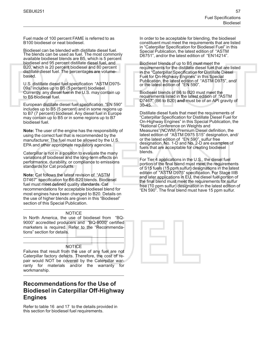Fuel made of 100 percent FAME is referred to as B100 biodiesel or neat biodiesel.

Biodiesel can be blended with distillate diesel fuel. The blends can be used as fuel. The most commonly available biodiesel blends are B5, which is 5 percent biodiesel and 95 percent distillate diesel fuel, and B20, which is 20 percent biodiesel and 80 percent distillate diesel fuel. The percentages are volumebased.

U.S. distillate diesel fuel specification "ASTM D975- 09a" includes up to B5 (5 percent) biodiesel. Currently, any diesel fuel in the U.S. may contain up to B5 biodiesel fuel.

European distillate diesel fuel specification "EN 590" includes up to B5 (5 percent) and in some regions up to B7 (7 percent) biodiesel. Any diesel fuel in Europe may contain up to B5 or in some regions up to B7 biodiesel fuel.

**Note:** The user of the engine has the responsibility of using the correct fuel that is recommended by the manufacturer. The fuel must be allowed by the U.S. EPA and other appropriate regulatory agencies.

Caterpillar is not in a position to evaluate the many variations of biodiesel and the long-term effects on performance, durability, or compliance to emissions standards for Cat products.

**Note:** Cat follows the latest revision of "ASTM D7467" specification for B6-B20 blends. Biodiesel fuel must meet defined quality standards. Cat recommendations for acceptable biodiesel blend for most engines have been changed to B20. Details on the use of higher blends are given in this "Biodiesel" section of this Special Publication.

#### **NOTICE**

In North America, the use of biodiesel from "BQ-9000" accredited producers and "BQ-9000" certified marketers is required. Refer to the "Recommendations" section for details.

#### **NOTICE**

Failures that result from the use of any fuel are not Caterpillar factory defects. Therefore, the cost of repair would NOT be covered by the Caterpillar warranty for materials and/or the warranty for workmanship.

### **Recommendations for the Use of Biodiesel in Caterpillar Off-Highway Engines**

Refer to table [16](#page-27-0) and [17](#page-27-1) to the details provided in this section for biodiesel fuel requirements.

In order to be acceptable for blending, the biodiesel constituent must meet the requirements that are listed in "Caterpillar Specification for Biodiesel Fuel" in this Special Publication, the latest edition of "ASTM D6751", and/or the latest edition of "EN14214".

Biodiesel blends of up to B5 must meet the requirements for the distillate diesel fuel that are listed in the "Caterpillar Specification for Distillate Diesel Fuel for On-Highway Engines" in this Special Publication, the latest edition of "ASTM D975", and/ or the latest edition of "EN 590".

Biodiesel blends of B6 to B20 must meet the requirements listed in the latest edition of "ASTM D7467" (B6 to B20) **and** must be of an API gravity of 30-45.

Distillate diesel fuels that meet the requirements of "Caterpillar Specification for Distillate Diesel Fuel for On-Highway Engines" in this Special Publication, the "National Conference on Weights and Measures"(NCWM) Premium Diesel definition, the latest edition of "ASTM D975 S15" designation, and/ or the latest edition of "EN 590", sulfur free designation. No. 1-D and No. 2-D are examples of fuels that are acceptable for creating biodiesel blends.

For Tier 4 applications in the U.S., the diesel fuel portion of the final blend must meet the requirements of S15 fuels (15 ppm sulfur) designations in the latest edition of "ASTM D975" specification. For Stage IIIB and later applications in EU, the diesel fuel portion of the final blend must meet the requirements for sulfur free (10 ppm sulfur) designation in the latest edition of "EN 590". The final blend must have 15 ppm sulfur.

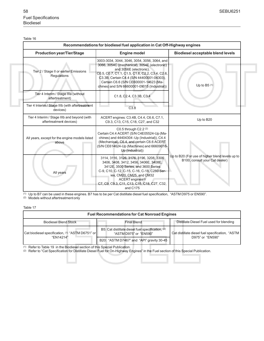Table 16

I

<span id="page-27-2"></span>L

<span id="page-27-0"></span>

| Recommendations for biodiesel fuel application in Cat Off-Highway engines |                                                                                                                                                                                                                                                                                                                  |                                                                                   |  |  |
|---------------------------------------------------------------------------|------------------------------------------------------------------------------------------------------------------------------------------------------------------------------------------------------------------------------------------------------------------------------------------------------------------|-----------------------------------------------------------------------------------|--|--|
| <b>Production year/Tier/Stage</b>                                         | <b>Engine model</b>                                                                                                                                                                                                                                                                                              | <b>Biodiesel acceptable blend levels</b>                                          |  |  |
| Tier 2 / Stage II or earlier Emissions<br>Regulations                     | 3003-3034, 3044, 3046, 3054, 3056, 3064, and<br>3066, 3054C (mechanical), 3054E (electronic)<br>and 3056E (electronic).<br>C0.5, C0.7, C1.1, C1.5, C1.6, C2.2, C3.4, C2.6,<br>C3.3B. Certain C4.4 (S/N 44400001-04303),<br>Certain C6.6 (S/N CE600001-14623 (Ma-<br>chines) and S/N 66600001-09015 (Industrial)) | Up to $B5(1)$                                                                     |  |  |
| Tier 4 Interim / Stage IIIa (without<br>aftertreatment)                   | C1.8, C2.4, C3.3B, C3.4                                                                                                                                                                                                                                                                                          |                                                                                   |  |  |
| Tier 4 Interim / Stage IIIb (with aftertreatment<br>devices)              | C3.8                                                                                                                                                                                                                                                                                                             |                                                                                   |  |  |
| Tier 4 Interim / Stage IIIb and beyond (with<br>aftertreatment devices)   | ACERT engines: C3.4B, C4.4, C6.6, C7.1,<br>C9.3, C13, C15, C18, C27, and C32                                                                                                                                                                                                                                     | Up to B20                                                                         |  |  |
| All years, except for the engine models listed<br>above                   | C0.5 through C2.2 (2)<br>Certain C4.4 ACERT (S/N C4E05524-Up (Ma-<br>chines) and 44404304 - Up (Industrial)), C4.4<br>(Mechanical), C6.4, and certain C6.6 ACERT<br>(S/N CE614624-Up (Machines) and 66609016-<br>Up (Industrial))                                                                                |                                                                                   |  |  |
| All years                                                                 | 3114, 3116, 3126, 3176, 3196, 3208, 3306<br>3406, 3408, 3412, 3456, 3406E, 3408E,<br>3412E, 3500 Series, and 3600 Series<br>C-9, C10, C-12, C-15, C-16, C-18, C280 Ser-<br>ies, CM20, CM25, and CM32<br>ACERT engines <sup>(2)</sup><br>C7, C9, C9.3, C11, C13, C15, C18, C27, C32,<br>and C175                  | Up to B20 (For use of higher blend levels up to<br>B100, consult your Cat dealer) |  |  |

(1) Up to B7 can be used in these engines. B7 has to be per Cat distillate diesel fuel specification, "ASTM D975 or EN590".

(2) Models without aftertreatment only

Table 17

<span id="page-27-1"></span>

| <b>Fuel Recommendations for Cat Nonroad Engines</b> |                                                                             |                                                                     |  |  |
|-----------------------------------------------------|-----------------------------------------------------------------------------|---------------------------------------------------------------------|--|--|
| <b>Biodiesel Blend Stock</b>                        | Distillate Diesel Fuel used for blending                                    |                                                                     |  |  |
| Cat biodiesel specification, (1) "ASTM D6751" or    | B5: Cat distillate diesel fuel specification, (2)<br>"ASTM D975" or "EN590" | Cat distillate diesel fuel specification, "ASTM<br>D975" or "EN590" |  |  |
| "FN14214"                                           | B20: "ASTM D7467" and "API" gravity 30-45                                   |                                                                     |  |  |

(1) Refer to Table [19](#page-33-0) in the Biodiesel section of this Special Publication.

(2) Refer to "Cat Specification for Distillate Diesel Fuel for On-Highway Engines" in the Fuel section of this Special Publication.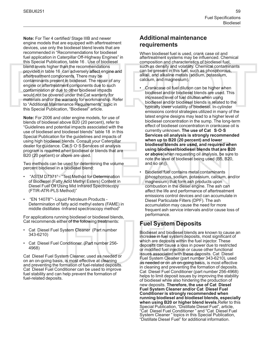**Note:** For Tier 4 certified/ Stage IIIB and newer engine models that are equipped with aftertreatment devices, use only the biodiesel blend levels that are recommended in "Recommendations for biodiesel fuel application in Caterpillar Off-Highway Engines" in this Special Publication, table 16 . Use of biodiesel blend levels higher than the recommendations provided in table 16 can adversely affect engine and aftertreatment components. There may be contaminants present in biodiesel. The repair of any engine or aftertreatment components due to such contamination or due to other biodiesel impacts would not be covered under the Cat warranty for materials and/or the warranty for workmanship. Refer to "Additional Maintenance Requirements" topic in this Special Publication, "Biodiesel" article.

**Note:** For 2006 and older engine models, for use of blends of biodiesel above B20 (20 percent), refer to "Guidelines and potential impacts associated with the use of biodiesel and biodiesel blends" table [18](#page-29-0) in this Special Publication for the guidelines and impacts of using high biodiesel blends. Consult your Caterpillar dealer for guidance. Cat S·O·S Services oil analysis program is required when biodiesel or blends that are B20 (20 percent) or above are used.

Two methods can be used for determining the volume percent biodiesel in a biodiesel blend:

- "ASTM D7371" "Test Method for Determination of Biodiesel (Fatty Acid Methyl Esters) Content in Diesel Fuel Oil Using Mid Infrared Spectroscopy (FTIR-ATR-PLS Method)"
- "EN 14078""- Liquid Petroleum Products Determination of fatty acid methyl esters (FAME) in middle distillates -Infrared spectroscopy method"

For applications running biodiesel or biodiesel blends, Cat recommends either of the following treatments:

- Cat Diesel Fuel System Cleaner (Part number 343-6210)
- Cat Diesel Fuel Conditioner (Part number 256- 4968)

Cat Diesel Fuel System Cleaner, used as needed or on an on-going basis, is most effective at cleaning and preventing the formation of fuel-related deposits. Cat Diesel Fuel Conditioner can be used to improve fuel stability and can help prevent the formation of fuel-related deposits.

### **Additional maintenance requirements**

When biodiesel fuel is used, crank case oil and aftertreatment systems may be influenced. Chemical composition and characteristics of biodiesel fuel, such as density and volatility. Chemical contaminants can be present in this fuel, such as phosphorous, alkali, and alkaline metals (sodium, potassium, calcium, and magnesium).

- Crankcase oil fuel dilution can be higher when biodiesel and/or biodiesel blends are used. This increased level of fuel dilution when using biodiesel and/or biodiesel blends is related to the typically lower volatility of biodiesel. In-cylinder emissions control strategies utilized in many of the latest engine designs may lead to a higher level of biodiesel concentration in the sump. The long-term effect of biodiesel concentration in crankcase oil is currently unknown. **The use of Cat S·O·S Services oil analysis is strongly recommended when up to B20 (20 percent) and lower biodiesel blends are used, and required when using biodiesel/biodiesel blends that are B20 or above**(when requesting oil analysis, be sure to note the level of biodiesel being used (B5, B20, and so on)).
- Biodiesel fuel contains metal contaminants (phosphorous, sodium, potassium, calcium, and/or magnesium) that form ash products upon combustion in the diesel engine. The ash can affect the life and performance of aftertreatment emissions control devices and can accumulate in Diesel Particulate Filters (DPF). The ash accumulation may cause the need for more frequent ash service intervals and/or cause loss of performance.

### **Fuel System Deposits**

Biodiesel and biodiesel blends are known to cause an increase in fuel system deposits, most significant of which are deposits within the fuel injector. These deposits can cause a loss in power due to restricted or modified fuel injection or cause other functional issues associated with these deposits. Cat Diesel Fuel System Cleaner (part number 343-6210), used as needed or on an on-going basis, is most effective in cleaning and preventing the formation of deposits. Cat Diesel Fuel Conditioner (part number 256-4968) helps to limit deposit issues by improving the stability of biodiesel while also hindering the production of new deposits. **Therefore, the use of Cat Diesel Fuel System Cleaner and/or Cat Diesel Fuel Conditioner is strongly recommended when running biodiesel and biodiesel blends, especially when using B20 or higher blend levels.**Refer to this Special Publication, "Distillate Diesel Fuel", article, "Cat Diesel Fuel Conditioner " and "Cat Diesel Fuel System Cleaner " topics in this Special Publication, "Distillate Diesel Fuel" for additional information.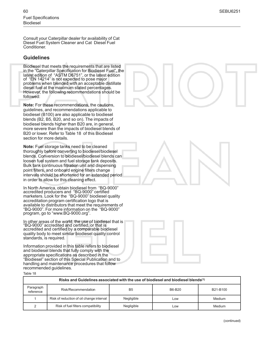Consult your Caterpillar dealer for availability of Cat Diesel Fuel System Cleaner and Cat Diesel Fuel Conditioner.

#### **Guidelines**

Biodiesel that meets the requirements that are listed in the "Caterpillar Specification for Biodiesel Fuel", the latest edition of "ASTM D6751", or the latest edition of "EN 14214" is not expected to pose major problems when blended with an acceptable distillate diesel fuel at the maximum stated percentages. However, the following recommendations should be followed:

**Note:** For these recommendations, the cautions, guidelines, and recommendations applicable to biodiesel (B100) are also applicable to biodiesel blends (B2, B5, B20, and so on). The impacts of biodiesel blends higher than B20 are, in general, more severe than the impacts of biodiesel blends of B20 or lower. Refer to Table [18](#page-29-0) of this Biodiesel section for more details.

**Note:** Fuel storage tanks need to be cleaned thoroughly before converting to biodiesel/biodiesel blends. Conversion to biodiesel/biodiesel blends can loosen fuel system and fuel storage tank deposits. Bulk tank continuous filtration unit and dispensing point filters, and onboard engine filters change intervals should be shortened for an extended period in order to allow for this cleaning effect.

In North America, obtain biodiesel from "BQ-9000" accredited producers and "BQ-9000" certified marketers. Look for the "BQ-9000" biodiesel quality accreditation program certification logo that is available to distributors that meet the requirements of "BQ-9000". For more information on the "BQ-9000" program, go to "www.BQ-9000.org".

In other areas of the world, the use of biodiesel that is "BQ-9000" accredited and certified, or that is accredited and certified by a comparable biodiesel quality body to meet similar biodiesel quality control standards, is required.

Information provided in this table refers to biodiesel and biodiesel blends that fully comply with the appropriate specifications as described in the "Biodiesel" section of this Special Publication and to handling and maintenance procedures that follow recommended guidelines.

Table 18

<span id="page-29-0"></span>

| Risks and Guidelines associated with the use of biodiesel and biodiesel blends <sup>(1)</sup> |                                                 |            |     |        |  |  |
|-----------------------------------------------------------------------------------------------|-------------------------------------------------|------------|-----|--------|--|--|
| Paragraph<br>reference                                                                        | Risk/Recommendation<br>B6-B20<br>B5<br>B21-B100 |            |     |        |  |  |
|                                                                                               | Risk of reduction of oil change interval        | Negligible | Low | Medium |  |  |
|                                                                                               | Risk of fuel filters compatibility              | Negligible | Low | Medium |  |  |





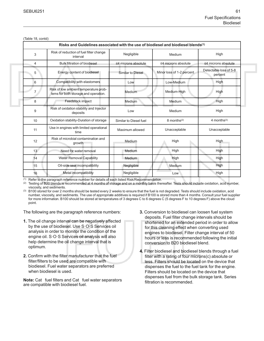| (lable 18, contd) |                                                                                               |                           |                           |                                   |
|-------------------|-----------------------------------------------------------------------------------------------|---------------------------|---------------------------|-----------------------------------|
|                   | Risks and Guidelines associated with the use of biodiesel and biodiesel blends <sup>(1)</sup> |                           |                           |                                   |
| 3                 | Risk of reduction of fuel filter change<br>interval                                           | Negligible                | Medium                    | High                              |
| 4                 | <b>Bulk filtration of biodiesel</b>                                                           | $\leq$ 4 microns absolute | ≤4 microns absolute       | ≤4 microns absolute               |
| 5                 | Energy content of biodiesel                                                                   | Similar to Diesel         | Minor loss of 1-2 percent | Detectable loss of 5-8<br>percent |
| 6                 | Compatibility with elastomers                                                                 | Low                       | Low-Medium                | High                              |
| 7                 | Risk of low ambient temperature prob-<br>lems for both storage and operation.                 | Medium                    | Medium-High               | High                              |
| 8                 | Feedstock impact                                                                              | Medium                    | Medium                    | High                              |
| 9                 | Risk of oxidation stability and Injector<br>deposits                                          | Low                       | Medium                    | High                              |
| 10                | Oxidation stability-Duration of storage                                                       | Similar to Diesel fuel    | 8 months <sup>(2)</sup>   | $4$ months <sup>(3)</sup>         |
| 11                | Use in engines with limited operational<br>time                                               | Maximum allowed           | Unacceptable              | Unacceptable                      |
| 12                | Risk of microbial contamination and<br>growth                                                 | Medium                    | High                      | <b>High</b>                       |
| 13 <sup>°</sup>   | Need for water removal                                                                        | Medium                    | High                      | High                              |
| 14                | <b>Water Removal Capability</b>                                                               | Medium                    | High                      | High                              |
| 15                | Oil-side seal incompatibility                                                                 | Negligible                | Medium                    | High                              |
| 16                | Metal incompatibility                                                                         | Negligible                | Low                       | High                              |

(Table 18, contd)

(1) Refer to the paragraph reference number for details of each listed Risk/Recommendation.

(2) Testing of B20 blends is recommended at 4 months of storage and on a monthly basis thereafter. Tests should include oxidation, acid number, viscosity, and sediments.

(3) B100 stored for over 2 months should be tested every 2 weeks to ensure that the fuel is not degraded. Tests should include oxidation, acid number, viscosity, and sediments. The use of appropriate additives is required if B100 is stored more than 4 months. Consult your fuel supplier for more information. B100 should be stored at temperatures of 3 degrees C to 6 degrees C (5 degrees F to 10 degrees F) above the cloud point.

The following are the paragraph reference numbers:

- **1.** The oil change interval can be negatively affected by the use of biodiesel. Use S·O·S Services oil analysis in order to monitor the condition of the engine oil. S·O·S Services oil analysis will also help determine the oil change interval that is optimum.
- **2.** Confirm with the filter manufacturer that the fuel filter/filters to be used are compatible with biodiesel. Fuel water separators are preferred when biodiesel is used.

**Note:** Cat fuel filters and Cat fuel water separators are compatible with biodiesel fuel.

- **3.** Conversion to biodiesel can loosen fuel system deposits. Fuel filter change intervals should be shortened for an extended period in order to allow for this cleaning effect when converting used engines to biodiesel. Filter change interval of 50 hours or less is recommended following the initial conversion to B20 biodiesel blend.
- **4.** Filter biodiesel and biodiesel blends through a fuel filter with a rating of four microns(c) absolute or less. Filters should be located on the device that dispenses the fuel to the fuel tank for the engine. Filters should be located on the device that dispenses fuel from the bulk storage tank. Series filtration is recommended.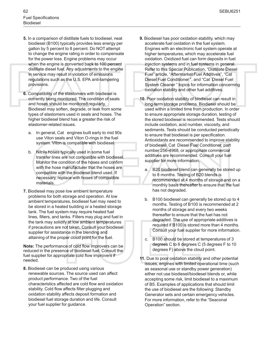- **5.** In a comparison of distillate fuels to biodiesel, neat biodiesel (B100) typically provides less energy per gallon by 5 percent to 8 percent. Do NOT attempt to change the engine rating in order to compensate for the power loss. Engine problems may occur when the engine is converted back to 100 percent distillate diesel fuel. Any adjustments to the engine in service may result in violation of emissions regulations such as the U.S. EPA anti-tampering provisions.
- **6.** Compatibility of the elastomers with biodiesel is currently being monitored. The condition of seals and hoses should be monitored regularly. Biodiesel may soften, degrade, or leak from some types of elastomers used in seals and hoses. The higher biodiesel blend has a greater the risk of elastomer-related issues.
	- a. In general, Cat engines built early to mid 90s use Viton seals and Viton O-rings in the fuel system. Viton is compatible with biodiesel.
	- b. Nitrile hoses typically used in some fuel transfer lines are not compatible with biodiesel. Monitor the condition of the hoses and confirm with the hose manufacturer that the hoses are compatible with the biodiesel blend used. If necessary, replace with hoses of compatible materials.
- **7.** Biodiesel may pose low ambient temperature problems for both storage and operation. At low ambient temperatures, biodiesel fuel may need to be stored in a heated building or a heated storage tank. The fuel system may require heated fuel lines, filters, and tanks. Filters may plug and fuel in the tank may solidify at low ambient temperatures if precautions are not taken. Consult your biodiesel supplier for assistance in the blending and attaining of the proper cloud point for the fuel.

**Note:** The performance of cold flow improvers can be reduced in the presence of biodiesel fuel. Consult the fuel supplier for appropriate cold flow improvers if needed.

**8.** Biodiesel can be produced using various renewable sources. The source used can affect product performance. Two of the fuel characteristics affected are cold flow and oxidation stability. Cold flow affects filter plugging and oxidation stability affects deposit formation and biodiesel fuel storage duration and life. Consult your fuel supplier for guidance.

- **9.** Biodiesel has poor oxidation stability, which may accelerate fuel oxidation in the fuel system. Engines with an electronic fuel system operate at higher temperatures, which may accelerate fuel oxidation. Oxidized fuel can form deposits in fuel injection systems and in fuel systems in general. Refer to this Special Publication, "Distillate Diesel Fuel" article, "Aftermarket Fuel Additives", "Cat Diesel Fuel Conditioner ", and "Cat Diesel Fuel System Cleaner " topics for information concerning oxidation stability and other fuel additives.
- **10.** Poor oxidation stability of biodiesel can result in long-term storage problems. Biodiesel should be used within a limited time from production. In order to ensure appropriate storage duration, testing of the stored biodiesel is recommended. Tests should include oxidation, acid number, viscosity, and sediments. Tests should be conducted periodically to ensure that biodiesel is per specification. Antioxidants are recommended to improve stability of biodiesel. Cat Diesel Fuel Conditioner, part number 256-4968, or appropriate commercial additives are recommended. Consult your fuel supplier for more information.
	- a. B20 biodiesel blend can generally be stored up to 8 months. Testing of B20 blends is recommended at 4 months of storage and on a monthly basis thereafter to ensure that the fuel has not degraded.
	- b. B100 biodiesel can generally be stored up to 4 months. Testing of B100 is recommended at 2 months of storage and every two weeks thereafter to ensure that the fuel has not degraded. The use of appropriate additives is required if B100 is stored more than 4 months. Consult your fuel supplier for more information.
	- c. B100 should be stored at temperatures of 3 degrees C to 6 degrees C (5 degrees F to 10 degrees F) above the cloud point.
- **11.** Due to poor oxidation stability and other potential issues, engines with limited operational time (such as seasonal use or standby power generation) either not use biodiesel/biodiesel blends or, while accepting some risk, limit biodiesel to a maximum of B5. Examples of applications that should limit the use of biodiesel are the following: Standby Generator sets and certain emergency vehicles. For more information, refer to the "Seaconal Operation" section.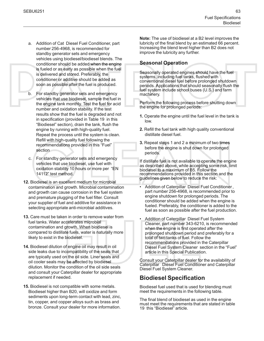- a. Addition of Cat Diesel Fuel Conditioner, part number 256-4968, is recommended for standby generator sets and emergency vehicles using biodiesel/biodiesel blends. The conditioner should be added when the engine is fueled or as early as possible when the fuel is delivered and stored. Preferably, the conditioner or additive should be added as soon as possible after the fuel is produced.
- b. For standby generator sets and emergency vehicles that use biodiesel, sample the fuel in the engine tank monthly. Test the fuel for acid number and oxidation stability. If the test results show that the fuel is degraded and not in specification (provided in Table [19](#page-33-0) in this "Biodiesel" section), drain the tank, flush the engine by running with high-quality fuel. Repeat the process until the system is clean. Refill with high-quality fuel following the recommendations provided in this "Fuel" section
- c. For standby generator sets and emergency vehicles that use biodiesel, use fuel with oxidation stability 10 hours or more per "EN 14112" test method.
- **12.** Biodiesel is an excellent medium for microbial contamination and growth. Microbial contamination and growth can cause corrosion in the fuel system and premature plugging of the fuel filter. Consult your supplier of fuel and additive for assistance in selecting appropriate anti-microbial additives.
- **13.** Care must be taken in order to remove water from fuel tanks. Water accelerates microbial contamination and growth. When biodiesel is compared to distillate fuels, water is naturally more likely to exist in the biodiesel.
- **14.** Biodiesel dilution of engine oil may result in oil side leaks due to incompatibility of the seals that are typically used on the oil side. Liner seals and oil cooler seals may be affected by biodiesel dilution. Monitor the condition of the oil side seals and consult your Caterpillar dealer for appropriate replacement if needed.
- **15.** Biodiesel is not compatible with some metals. Biodiesel higher than B20, will oxidize and form sediments upon long-term contact with lead, zinc, tin, copper, and copper alloys such as brass and bronze. Consult your dealer for more information.

**Note:** The use of biodiesel at a B2 level improves the lubricity of the final blend by an estimated 66 percent. Increasing the blend level higher than B2 does not improve the lubricity any further.

#### **Seasonal Operation**

Seasonally operated engines should have the fuel systems, including fuel tanks, flushed with conventional diesel fuel before prolonged shutdown periods. Applications that should seasonally flush the fuel system include school buses (U.S.) and farm machinery.

Perform the following process before shutting down the engine for prolonged periods:

- <span id="page-32-0"></span>**1.** Operate the engine until the fuel level in the tank is low.
- <span id="page-32-1"></span>**2.** Refill the fuel tank with high quality conventional distillate diesel fuel.
- **3.** Repeat steps [1](#page-32-0) and [2](#page-32-1) a minimum of two times before the engine is shut down for prolonged periods.

If distillate fuel is not available to operate the engine as described above, while accepting some risk, limit biodiesel to a maximum of B5. Follow the recommendations provided in this section and the guidelines given below to reduce the risk:

- Addition of Caterpillar Diesel Fuel Conditioner , part number 256-4968, is recommended prior to engine shutdown for prolonged periods. The conditioner should be added when the engine is fueled. Preferably, the conditioner is added to the fuel as soon as possible after the fuel production.
- Addition of Caterpillar Diesel Fuel System Cleaner, part number 343-6210, is recommended when the engine is first operated after the prolonged shutdown period and preferably for a total of two tanks of fuel. Follow the recommendations provided in the Caterpillar Diesel Fuel System Cleaner section in the "Fuel" article in this Special Publication.

Consult your Caterpillar dealer for the availability of Caterpillar Diesel Fuel Conditioner and Caterpillar Diesel Fuel System Cleaner.

### **Biodiesel Specification**

Biodiesel fuel used that is used for blending must meet the requirements in the following table.

The final blend of biodiesel as used in the engine must meet the requirements that are stated in table [19](#page-33-0) this "Biodiesel" article.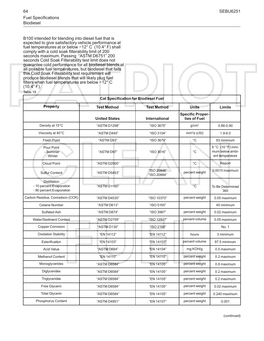B100 intended for blending into diesel fuel that is expected to give satisfactory vehicle performance at fuel temperatures at or below −12° C (10.4° F) shall comply with a cold soak filterability limit of 200 seconds maximum. Passing "ASTM D6751" 200 seconds Cold Soak Filterability test limit does not guarantee cold performance for all biodiesel blends at all possible fuel temperatures, but biodiesel that fails this Cold Soak Filterability test requirement will produce biodiesel blends that will likely plug fuel filters when fuel temperatures are below −12° C  $(10.4^\circ)$  F). Table 19

<span id="page-33-0"></span>**Cat Specification for Biodiesel Fuel Property Test Method Test Method Units Limits United States International Specific Properties of Fuel** Density at 15°C  $\overline{a}$   $\overline{a}$   $\overline{a}$   $\overline{a}$   $\overline{a}$   $\overline{a}$   $\overline{a}$   $\overline{a}$   $\overline{a}$   $\overline{a}$   $\overline{a}$   $\overline{a}$   $\overline{a}$   $\overline{a}$   $\overline{a}$   $\overline{a}$   $\overline{a}$   $\overline{a}$   $\overline{a}$   $\overline{a}$   $\overline{a}$   $\overline{a}$   $\overline{a}$ 0.86-0.90 Viscosity at 40°C  $\overline{a}$  "ASTM D445"  $\overline{a}$  "ISO 3104"  $mm^2/s$  (cSt)  $1.9-6.0$ Flash Point "ASTM D93" "ISO 3679" °C 93 minimum Pour Point - Summer - Winter "ASTM D97" | "ISO 3016" | C 6 °C (10 °F) minimum below ambient temperature Cloud Point "ASTM D2500" and a series of the Cloud Point Report Sulfur Content "ASTM D5453" "ISO 20846" "ISO 20884" percent weight 0.0015 maximum **Distillation** - 10 percent Evaporation - 90 percent Evaporation "ASTM D1160" °C To Be Determined 360 Carbon Residue, Conradson (CCR) "ASTM D4530" "ISO 10370" percent weight 0.05 maximum Cetane Number "ASTM D613" "ISO 5165" 45 minimum Sulfated Ash **Network 1 ASTM D874"** "ISO 3987" percent weight | 0.02 maximum Water/Sediment Content | "ASTM D2709" | "ISO 12937" | percent volume | 0.05 maximum Copper Corrosion **No. 1** 4 4 4 4 4 4 4 4 4 4 4 4 4 4 5 4 4 5 4 4 5 4 4 5 4 5 4 5 4 5 4 5 4 6  $\pm$  1 6.1 Oxidation Stability "EN 14112" "EN 14112" hours 3 minimum Esterification **EXEL 15 TEN 14103** "EN 14103" Percent volume 97.5 minimum Acid Value "ASTM D664" "EN 14104" mg KOH/g 0.5 maximum Methanol Content **Network** 1977 **Content 1989 EN 14110 "EN 14110**" percent weight 0.2 maximum Monoglycerides "ASTM D6584" | "EN 14105" percent weight | 0.8 maximum Diglycerides **National Mate 1 (ASTM D6584"** | "EN 14105" | percent weight | 0.2 maximum Triglycerides "ASTM D6584" "EN 14105" percent weight 0.2 maximum Free Glycerin "ASTM D6584" "EN 14105" percent weight 0.02 maximum Total Glycerin "ASTM D6584" | "EN 14105" | percent weight | 0.240 maximum Phosphorus Content | "ASTM D4951" | "EN 14107" | percent weight | 0.001